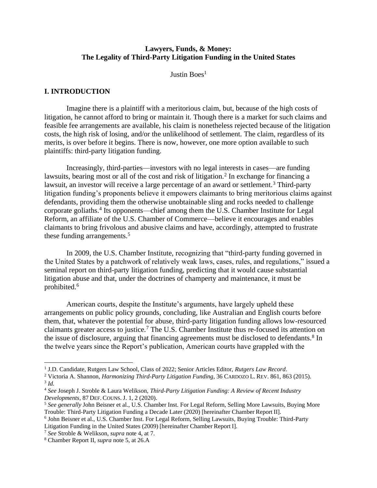### **Lawyers, Funds, & Money: The Legality of Third-Party Litigation Funding in the United States**

Justin Boes $<sup>1</sup>$ </sup>

#### **I. INTRODUCTION**

Imagine there is a plaintiff with a meritorious claim, but, because of the high costs of litigation, he cannot afford to bring or maintain it. Though there is a market for such claims and feasible fee arrangements are available, his claim is nonetheless rejected because of the litigation costs, the high risk of losing, and/or the unlikelihood of settlement. The claim, regardless of its merits, is over before it begins. There is now, however, one more option available to such plaintiffs: third-party litigation funding.

Increasingly, third-parties—investors with no legal interests in cases—are funding lawsuits, bearing most or all of the cost and risk of litigation.<sup>2</sup> In exchange for financing a lawsuit, an investor will receive a large percentage of an award or settlement.<sup>3</sup> Third-party litigation funding's proponents believe it empowers claimants to bring meritorious claims against defendants, providing them the otherwise unobtainable sling and rocks needed to challenge corporate goliaths.<sup>4</sup> Its opponents—chief among them the U.S. Chamber Institute for Legal Reform, an affiliate of the U.S. Chamber of Commerce—believe it encourages and enables claimants to bring frivolous and abusive claims and have, accordingly, attempted to frustrate these funding arrangements.<sup>5</sup>

In 2009, the U.S. Chamber Institute, recognizing that "third-party funding governed in the United States by a patchwork of relatively weak laws, cases, rules, and regulations," issued a seminal report on third-party litigation funding, predicting that it would cause substantial litigation abuse and that, under the doctrines of champerty and maintenance, it must be prohibited.<sup>6</sup>

American courts, despite the Institute's arguments, have largely upheld these arrangements on public policy grounds, concluding, like Australian and English courts before them, that, whatever the potential for abuse, third-party litigation funding allows low-resourced claimants greater access to justice.<sup>7</sup> The U.S. Chamber Institute thus re-focused its attention on the issue of disclosure, arguing that financing agreements must be disclosed to defendants.<sup>8</sup> In the twelve years since the Report's publication, American courts have grappled with the

<sup>7</sup> *See* [Stroble & Welikson,](https://www.iadclaw.org/assets/1/17/Third-Party_Litigation_Funding_-_A_Review_of_Recent_Industry_Developments2.pdf?4180) *supra* note 4, at 7.

<sup>&</sup>lt;sup>1</sup> J.D. Candidate, Rutgers Law School, Class of 2022; Senior Articles Editor, Rutgers Law Record.

<sup>2</sup> [Victoria A. Shannon,](https://deliverypdf.ssrn.com/delivery.php?ID=942094068073003096095107115083125086034008059068089043102126102104085005073091124076103052038060105029109000065064127127101019052078027028048090126025009094121000029095043064103103124067089000073085023094098026117009031112080023112024064023091085097067&EXT=pdf&INDEX=TRUE) *[Harmonizing Third-Party Litigation Funding](https://deliverypdf.ssrn.com/delivery.php?ID=942094068073003096095107115083125086034008059068089043102126102104085005073091124076103052038060105029109000065064127127101019052078027028048090126025009094121000029095043064103103124067089000073085023094098026117009031112080023112024064023091085097067&EXT=pdf&INDEX=TRUE)*[, 36 C](https://deliverypdf.ssrn.com/delivery.php?ID=942094068073003096095107115083125086034008059068089043102126102104085005073091124076103052038060105029109000065064127127101019052078027028048090126025009094121000029095043064103103124067089000073085023094098026117009031112080023112024064023091085097067&EXT=pdf&INDEX=TRUE)[ARDOZO](https://deliverypdf.ssrn.com/delivery.php?ID=942094068073003096095107115083125086034008059068089043102126102104085005073091124076103052038060105029109000065064127127101019052078027028048090126025009094121000029095043064103103124067089000073085023094098026117009031112080023112024064023091085097067&EXT=pdf&INDEX=TRUE) L. REV. [861, 863 \(2015\).](https://deliverypdf.ssrn.com/delivery.php?ID=942094068073003096095107115083125086034008059068089043102126102104085005073091124076103052038060105029109000065064127127101019052078027028048090126025009094121000029095043064103103124067089000073085023094098026117009031112080023112024064023091085097067&EXT=pdf&INDEX=TRUE) 3 *[Id.](https://deliverypdf.ssrn.com/delivery.php?ID=942094068073003096095107115083125086034008059068089043102126102104085005073091124076103052038060105029109000065064127127101019052078027028048090126025009094121000029095043064103103124067089000073085023094098026117009031112080023112024064023091085097067&EXT=pdf&INDEX=TRUE)*

<sup>4</sup> *See* [Joseph J. Stroble & Laura Welikson,](https://www.iadclaw.org/assets/1/17/Third-Party_Litigation_Funding_-_A_Review_of_Recent_Industry_Developments2.pdf?4180) *[Third-Party Litigation Funding: A Review of Recent Industry](https://www.iadclaw.org/assets/1/17/Third-Party_Litigation_Funding_-_A_Review_of_Recent_Industry_Developments2.pdf?4180)  [Developments](https://www.iadclaw.org/assets/1/17/Third-Party_Litigation_Funding_-_A_Review_of_Recent_Industry_Developments2.pdf?4180)*[, 8](https://www.iadclaw.org/assets/1/17/Third-Party_Litigation_Funding_-_A_Review_of_Recent_Industry_Developments2.pdf?4180)7 DEF. C[OUNS](https://www.iadclaw.org/assets/1/17/Third-Party_Litigation_Funding_-_A_Review_of_Recent_Industry_Developments2.pdf?4180). J. [1, 2 \(2020\).](https://www.iadclaw.org/assets/1/17/Third-Party_Litigation_Funding_-_A_Review_of_Recent_Industry_Developments2.pdf?4180)

<sup>5</sup> *See generally* [John Beisner et al., U.S. Chamber Inst. For Legal Reform, Selling More Lawsuits, Buying More](https://instituteforlegalreform.com/wp-content/uploads/2020/10/Still_Selling_Lawsuits_-_Third_Party_Litigation_Funding_A_Decade_Later.pdf)  [Trouble: Third-Party Litigation Funding a Decade Later \(2020\)](https://instituteforlegalreform.com/wp-content/uploads/2020/10/Still_Selling_Lawsuits_-_Third_Party_Litigation_Funding_A_Decade_Later.pdf) [hereinafter Chamber Report II].

<sup>6</sup> John Beisner et al., [U.S. Chamber Inst. For Legal Reform, Selling Lawsuits, Buying Trouble: Third-Party](https://legaltimes.typepad.com/files/thirdpartylitigationfinancing.pdf)  [Litigation Funding in the United States \(2009\)](https://legaltimes.typepad.com/files/thirdpartylitigationfinancing.pdf) [hereinafter Chamber Report I].

<sup>8</sup> Chamber Report II, *supra* note 5, at 26.A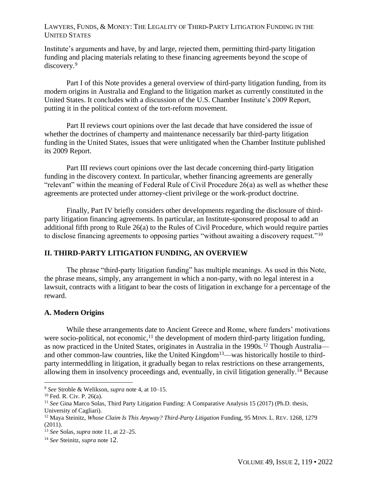Institute's arguments and have, by and large, rejected them, permitting third-party litigation funding and placing materials relating to these financing agreements beyond the scope of discovery.<sup>9</sup>

Part I of this Note provides a general overview of third-party litigation funding, from its modern origins in Australia and England to the litigation market as currently constituted in the United States. It concludes with a discussion of the U.S. Chamber Institute's 2009 Report, putting it in the political context of the tort-reform movement.

Part II reviews court opinions over the last decade that have considered the issue of whether the doctrines of champerty and maintenance necessarily bar third-party litigation funding in the United States, issues that were unlitigated when the Chamber Institute published its 2009 Report.

Part III reviews court opinions over the last decade concerning third-party litigation funding in the discovery context. In particular, whether financing agreements are generally "relevant" within the meaning of Federal Rule of Civil Procedure 26(a) as well as whether these agreements are protected under attorney-client privilege or the work-product doctrine.

Finally, Part IV briefly considers other developments regarding the disclosure of thirdparty litigation financing agreements. In particular, an Institute-sponsored proposal to add an additional fifth prong to Rule 26(a) to the Rules of Civil Procedure, which would require parties to disclose financing agreements to opposing parties "without awaiting a discovery request."<sup>10</sup>

### **II. THIRD-PARTY LITIGATION FUNDING, AN OVERVIEW**

The phrase "third-party litigation funding" has multiple meanings. As used in this Note, the phrase means, simply, any arrangement in which a non-party, with no legal interest in a lawsuit, contracts with a litigant to bear the costs of litigation in exchange for a percentage of the reward.

#### **A. Modern Origins**

While these arrangements date to Ancient Greece and Rome, where funders' motivations were socio-political, not economic,  $^{11}$  the development of modern third-party litigation funding, as now practiced in the United States, originates in Australia in the 1990s.<sup>12</sup> Though Australia and other common-law countries, like the United Kingdom<sup>13</sup>—was historically hostile to thirdparty intermeddling in litigation, it gradually began to relax restrictions on these arrangements, allowing them in insolvency proceedings and, eventually, in civil litigation generally.<sup>14</sup> Because

<sup>9</sup> *See* [Stroble & Welikson,](https://www.iadclaw.org/assets/1/17/Third-Party_Litigation_Funding_-_A_Review_of_Recent_Industry_Developments2.pdf?4180) *supra* note 4, at 10–15.

<sup>10</sup> [Fed. R. Civ. P. 26\(a\).](https://www.law.cornell.edu/rules/frcp/rule_26)

<sup>11</sup> *See* [Gina Marco Solas, Third Party Litigation Funding: A Comparative Analysis 15 \(2017\) \(Ph.D. thesis,](https://iris.unica.it/retrieve/handle/11584/248711/300802/Tesididottorato_GianMarco_Solas.pdf)  [University of Cagliari\).](https://iris.unica.it/retrieve/handle/11584/248711/300802/Tesididottorato_GianMarco_Solas.pdf)

<sup>12</sup> [Maya Steinitz,](https://scholarship.law.umn.edu/cgi/viewcontent.cgi?article=1451&context=mlr) *[Whose Claim Is This Anyway? Third-Party Litigation](https://scholarship.law.umn.edu/cgi/viewcontent.cgi?article=1451&context=mlr)* [Funding, 95 M](https://scholarship.law.umn.edu/cgi/viewcontent.cgi?article=1451&context=mlr)[INN](https://scholarship.law.umn.edu/cgi/viewcontent.cgi?article=1451&context=mlr). L. REV. [1268, 1279](https://scholarship.law.umn.edu/cgi/viewcontent.cgi?article=1451&context=mlr)   $(2011).$ 

<sup>13</sup> *See* [Solas,](https://iris.unica.it/retrieve/handle/11584/248711/300802/Tesididottorato_GianMarco_Solas.pdf) *[supra](https://iris.unica.it/retrieve/handle/11584/248711/300802/Tesididottorato_GianMarco_Solas.pdf)* [note 11, at 22–25.](https://iris.unica.it/retrieve/handle/11584/248711/300802/Tesididottorato_GianMarco_Solas.pdf)

<sup>14</sup> *See* [Steinitz,](https://scholarship.law.umn.edu/cgi/viewcontent.cgi?article=1451&context=mlr) *[supra](https://scholarship.law.umn.edu/cgi/viewcontent.cgi?article=1451&context=mlr)* note 1[2](https://scholarship.law.umn.edu/cgi/viewcontent.cgi?article=1451&context=mlr).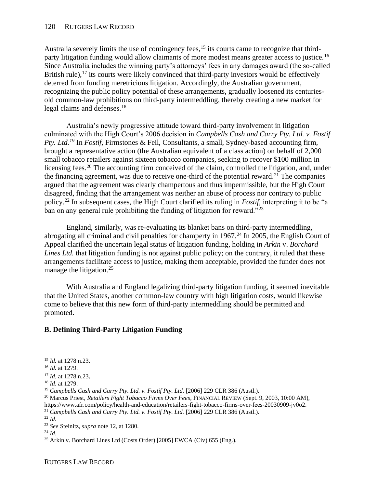Australia severely limits the use of contingency fees,<sup>15</sup> its courts came to recognize that thirdparty litigation funding would allow claimants of more modest means greater access to justice.<sup>16</sup> Since Australia includes the winning party's attorneys' fees in any damages award (the so-called British rule),  $17$  its courts were likely convinced that third-party investors would be effectively deterred from funding meretricious litigation. Accordingly, the Australian government, recognizing the public policy potential of these arrangements, gradually loosened its centuriesold common-law prohibitions on third-party intermeddling, thereby creating a new market for legal claims and defenses.<sup>18</sup>

Australia's newly progressive attitude toward third-party involvement in litigation culminated with the High Court's 2006 decision in *Campbells Cash and Carry Pty. Ltd. v. Fostif Pty. Ltd.<sup>19</sup>* In *Fostif*, Firmstones & Feil, Consultants, a small, Sydney-based accounting firm, brought a representative action (the Australian equivalent of a class action) on behalf of 2,000 small tobacco retailers against sixteen tobacco companies, seeking to recover \$100 million in licensing fees.<sup>20</sup> The accounting firm conceived of the claim, controlled the litigation, and, under the financing agreement, was due to receive one-third of the potential reward.<sup>21</sup> The companies argued that the agreement was clearly champertous and thus impermissible, but the High Court disagreed, finding that the arrangement was neither an abuse of process nor contrary to public policy.<sup>22</sup> In subsequent cases, the High Court clarified its ruling in *Fostif*, interpreting it to be "a ban on any general rule prohibiting the funding of litigation for reward."<sup>23</sup>

England, similarly, was re-evaluating its blanket bans on third-party intermeddling, abrogating all criminal and civil penalties for champerty in  $1967<sup>24</sup>$  In 2005, the English Court of Appeal clarified the uncertain legal status of litigation funding, holding in *Arkin* v. *Borchard Lines Ltd.* that litigation funding is not against public policy; on the contrary, it ruled that these arrangements facilitate access to justice, making them acceptable, provided the funder does not manage the litigation.<sup>25</sup>

With Australia and England legalizing third-party litigation funding, it seemed inevitable that the United States, another common-law country with high litigation costs, would likewise come to believe that this new form of third-party intermeddling should be permitted and promoted.

# **B. Defining Third-Party Litigation Funding**

<sup>15</sup> *[Id.](https://scholarship.law.umn.edu/cgi/viewcontent.cgi?article=1451&context=mlr)* [at 1278 n.23.](https://scholarship.law.umn.edu/cgi/viewcontent.cgi?article=1451&context=mlr)

<sup>16</sup> *[Id.](https://scholarship.law.umn.edu/cgi/viewcontent.cgi?article=1451&context=mlr)* [at 1279.](https://scholarship.law.umn.edu/cgi/viewcontent.cgi?article=1451&context=mlr)

<sup>17</sup> *[Id.](https://scholarship.law.umn.edu/cgi/viewcontent.cgi?article=1451&context=mlr)* [at 1278 n.23](https://scholarship.law.umn.edu/cgi/viewcontent.cgi?article=1451&context=mlr)[.](https://scholarship.law.umn.edu/cgi/viewcontent.cgi?article=1451&context=mlr)

<sup>18</sup> *[Id](https://scholarship.law.umn.edu/cgi/viewcontent.cgi?article=1451&context=mlr)*[. at 1279.](https://scholarship.law.umn.edu/cgi/viewcontent.cgi?article=1451&context=mlr)

<sup>19</sup> *Campbells Cash and Carry Pty. Ltd. v. Fostif Pty. Ltd.* [2006] 229 CLR 386 (Austl.).

<sup>20</sup> [Marcus Priest,](https://www.afr.com/policy/health-and-education/retailers-fight-tobacco-firms-over-fees-20030909-jv0o2) *[Retailers Fight Tobacco Firms Over Fees](https://www.afr.com/policy/health-and-education/retailers-fight-tobacco-firms-over-fees-20030909-jv0o2)*[, F](https://www.afr.com/policy/health-and-education/retailers-fight-tobacco-firms-over-fees-20030909-jv0o2)[INANCIAL](https://www.afr.com/policy/health-and-education/retailers-fight-tobacco-firms-over-fees-20030909-jv0o2) REVIEW [\(Sept. 9, 2003, 10:00 AM\),](https://www.afr.com/policy/health-and-education/retailers-fight-tobacco-firms-over-fees-20030909-jv0o2)  [https://www.afr.com/policy/health-and-education/retailers-fight-tobacco-firms-over-fees-20030909-jv0o2.](https://www.afr.com/policy/health-and-education/retailers-fight-tobacco-firms-over-fees-20030909-jv0o2)

<sup>&</sup>lt;sup>21</sup> *Campbells Cash and Carry Pty. Ltd. v. Fostif Pty. Ltd.* [2006] 229 CLR 386 (Austl.).

<sup>22</sup> *Id*.

<sup>23</sup> *[See](https://scholarship.law.umn.edu/cgi/viewcontent.cgi?article=1451&context=mlr)* [Steinitz,](https://scholarship.law.umn.edu/cgi/viewcontent.cgi?article=1451&context=mlr) *[supra](https://scholarship.law.umn.edu/cgi/viewcontent.cgi?article=1451&context=mlr)* [note 12, at 1280.](https://scholarship.law.umn.edu/cgi/viewcontent.cgi?article=1451&context=mlr)

<sup>24</sup> *[Id](https://scholarship.law.umn.edu/cgi/viewcontent.cgi?article=1451&context=mlr)*.

<sup>&</sup>lt;sup>25</sup> Arkin v. Borchard Lines Ltd (Costs Order) [2005] EWCA (Civ)  $655$  (Eng.).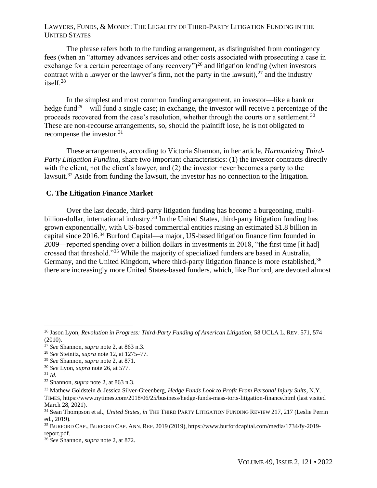The phrase refers both to the funding arrangement, as distinguished from contingency fees (when an "attorney advances services and other costs associated with prosecuting a case in exchange for a certain percentage of any recovery")<sup>26</sup> and litigation lending (when investors contract with a lawyer or the lawyer's firm, not the party in the lawsuit),  $27$  and the industry itself.<sup>28</sup>

In the simplest and most common funding arrangement, an investor—like a bank or hedge fund<sup>29</sup>—will fund a single case; in exchange, the investor will receive a percentage of the proceeds recovered from the case's resolution, whether through the courts or a settlement.<sup>30</sup> These are non-recourse arrangements, so, should the plaintiff lose, he is not obligated to recompense the investor.<sup>31</sup>

These arrangements, according to Victoria Shannon, in her article, *Harmonizing Third-Party Litigation Funding*, share two important characteristics: (1) the investor contracts directly with the client, not the client's lawyer, and (2) the investor never becomes a party to the lawsuit.<sup>32</sup> Aside from funding the lawsuit, the investor has no connection to the litigation.

### **C. The Litigation Finance Market**

Over the last decade, third-party litigation funding has become a burgeoning, multibillion-dollar, international industry.<sup>33</sup> In the United States, third-party litigation funding has grown exponentially, with US-based commercial entities raising an estimated \$1.8 billion in capital since 2016.<sup>34</sup> Burford Capital—a major, US-based litigation finance firm founded in 2009—reported spending over a billion dollars in investments in 2018, "the first time [it had] crossed that threshold."<sup>35</sup> While the majority of specialized funders are based in Australia, Germany, and the United Kingdom, where third-party litigation finance is more established, 36 there are increasingly more United States-based funders, which, like Burford, are devoted almost

<sup>26</sup> [Jason Lyon,](https://www.uclalawreview.org/revolution-in-progress-third-party-funding-of-american-litigation/) *[Revolution in Progress: Third-Party Funding of American Litigation](https://www.uclalawreview.org/revolution-in-progress-third-party-funding-of-american-litigation/)*[, 58 UCLA L.](https://www.uclalawreview.org/revolution-in-progress-third-party-funding-of-american-litigation/) REV. [571, 574](https://www.uclalawreview.org/revolution-in-progress-third-party-funding-of-american-litigation/)  [\(2010\).](https://www.uclalawreview.org/revolution-in-progress-third-party-funding-of-american-litigation/)

<sup>27</sup> *[See](https://papers.ssrn.com/sol3/papers.cfm?abstract_id=2419686)* [Shannon,](https://papers.ssrn.com/sol3/papers.cfm?abstract_id=2419686) *[supra](https://papers.ssrn.com/sol3/papers.cfm?abstract_id=2419686)* [note 2, at 863 n.3.](https://papers.ssrn.com/sol3/papers.cfm?abstract_id=2419686)

<sup>28</sup> *[See](https://scholarship.law.umn.edu/cgi/viewcontent.cgi?article=1451&context=mlr)* [Steinitz,](https://scholarship.law.umn.edu/cgi/viewcontent.cgi?article=1451&context=mlr) *[supra](https://scholarship.law.umn.edu/cgi/viewcontent.cgi?article=1451&context=mlr)* [note 12, at 1275–77.](https://scholarship.law.umn.edu/cgi/viewcontent.cgi?article=1451&context=mlr)

<sup>29</sup> *[See](https://papers.ssrn.com/sol3/papers.cfm?abstract_id=2419686)* [Shannon,](https://papers.ssrn.com/sol3/papers.cfm?abstract_id=2419686) *[supra](https://papers.ssrn.com/sol3/papers.cfm?abstract_id=2419686)* [note 2, at 871.](https://papers.ssrn.com/sol3/papers.cfm?abstract_id=2419686)

<sup>30</sup> *[See](https://www.uclalawreview.org/revolution-in-progress-third-party-funding-of-american-litigation/)* [Lyon,](https://www.uclalawreview.org/revolution-in-progress-third-party-funding-of-american-litigation/) *[supra](https://www.uclalawreview.org/revolution-in-progress-third-party-funding-of-american-litigation/)* [note 26, at 577.](https://www.uclalawreview.org/revolution-in-progress-third-party-funding-of-american-litigation/)

 $31$  *Id.* 

<sup>32</sup> [Shannon,](https://papers.ssrn.com/sol3/papers.cfm?abstract_id=2419686) *[supra](https://papers.ssrn.com/sol3/papers.cfm?abstract_id=2419686)* [note 2, at 863 n.3.](https://papers.ssrn.com/sol3/papers.cfm?abstract_id=2419686)

<sup>33</sup> [Mathew Goldstein & Jessica Silver-Greenberg,](https://www.nytimes.com/2018/06/25/business/hedge-funds-mass-torts-litigation-finance.html) *[Hedge Funds Look to Profit From Personal Injury Suits](https://www.nytimes.com/2018/06/25/business/hedge-funds-mass-torts-litigation-finance.html)*[,](https://www.nytimes.com/2018/06/25/business/hedge-funds-mass-torts-litigation-finance.html) [N.Y.](https://www.nytimes.com/2018/06/25/business/hedge-funds-mass-torts-litigation-finance.html) T[IMES](https://www.nytimes.com/2018/06/25/business/hedge-funds-mass-torts-litigation-finance.html)[, https://www.nytimes.com/2018/06/25/business/hedge-funds-mass-torts-litigation-finance.html \(last visited](https://www.nytimes.com/2018/06/25/business/hedge-funds-mass-torts-litigation-finance.html)  [March 28, 2021\).](https://www.nytimes.com/2018/06/25/business/hedge-funds-mass-torts-litigation-finance.html)

<sup>&</sup>lt;sup>34</sup> [Sean Thompson et al.,](https://static1.squarespace.com/static/5c6b0e19e8ba449a332c79a4/t/5f37092c55fedf5fa68d2cd7/1597442348200/United+States.pdf) *[United States](https://static1.squarespace.com/static/5c6b0e19e8ba449a332c79a4/t/5f37092c55fedf5fa68d2cd7/1597442348200/United+States.pdf)*[,](https://static1.squarespace.com/static/5c6b0e19e8ba449a332c79a4/t/5f37092c55fedf5fa68d2cd7/1597442348200/United+States.pdf) *[in](https://static1.squarespace.com/static/5c6b0e19e8ba449a332c79a4/t/5f37092c55fedf5fa68d2cd7/1597442348200/United+States.pdf)* THE THIRD PARTY L[ITIGATION](https://static1.squarespace.com/static/5c6b0e19e8ba449a332c79a4/t/5f37092c55fedf5fa68d2cd7/1597442348200/United+States.pdf) FUNDING R[EVIEW](https://static1.squarespace.com/static/5c6b0e19e8ba449a332c79a4/t/5f37092c55fedf5fa68d2cd7/1597442348200/United+States.pdf) 217, 217 (Leslie Perrin [ed., 2019\).](https://static1.squarespace.com/static/5c6b0e19e8ba449a332c79a4/t/5f37092c55fedf5fa68d2cd7/1597442348200/United+States.pdf)

<sup>35</sup> B[URFORD](https://www.burfordcapital.com/media/1734/fy-2019-report.pdf) CAP., BURFORD CAP. ANN. REP. 2019 [\(2019\),](https://www.burfordcapital.com/media/1734/fy-2019-report.pdf) https://www.burfordcapital.com/media/1734/fy-2019 report.pdf.

<sup>36</sup> *[See](https://papers.ssrn.com/sol3/papers.cfm?abstract_id=2419686)* [Shannon,](https://papers.ssrn.com/sol3/papers.cfm?abstract_id=2419686) *[supra](https://papers.ssrn.com/sol3/papers.cfm?abstract_id=2419686)* [note 2, at 872.](https://papers.ssrn.com/sol3/papers.cfm?abstract_id=2419686)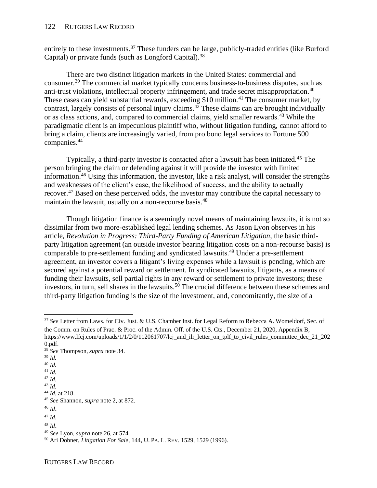#### 122 RUTGERS LAW RECORD

entirely to these investments.<sup>37</sup> These funders can be large, publicly-traded entities (like Burford Capital) or private funds (such as Longford Capital).<sup>38</sup>

There are two distinct litigation markets in the United States: commercial and consumer.<sup>39</sup> The commercial market typically concerns business-to-business disputes, such as anti-trust violations, intellectual property infringement, and trade secret misappropriation.<sup>40</sup> These cases can yield substantial rewards, exceeding \$10 million.<sup>41</sup> The consumer market, by contrast, largely consists of personal injury claims.<sup>42</sup> These claims can are brought individually or as class actions, and, compared to commercial claims, yield smaller rewards.<sup>43</sup> While the paradigmatic client is an impecunious plaintiff who, without litigation funding, cannot afford to bring a claim, clients are increasingly varied, from pro bono legal services to Fortune 500 companies.<sup>44</sup>

Typically, a third-party investor is contacted after a lawsuit has been initiated.<sup>45</sup> The person bringing the claim or defending against it will provide the investor with limited information.<sup>46</sup> Using this information, the investor, like a risk analyst, will consider the strengths and weaknesses of the client's case, the likelihood of success, and the ability to actually recover.<sup>47</sup> Based on these perceived odds, the investor may contribute the capital necessary to maintain the lawsuit, usually on a non-recourse basis.<sup>48</sup>

Though litigation finance is a seemingly novel means of maintaining lawsuits, it is not so dissimilar from two more-established legal lending schemes. As Jason Lyon observes in his article, *Revolution in Progress: Third-Party Funding of American Litigation*, the basic thirdparty litigation agreement (an outside investor bearing litigation costs on a non-recourse basis) is comparable to pre-settlement funding and syndicated lawsuits.<sup>49</sup> Under a pre-settlement agreement, an investor covers a litigant's living expenses while a lawsuit is pending, which are secured against a potential reward or settlement. In syndicated lawsuits, litigants, as a means of funding their lawsuits, sell partial rights in any reward or settlement to private investors; these investors, in turn, sell shares in the lawsuits.<sup>50</sup> The crucial difference between these schemes and third-party litigation funding is the size of the investment, and, concomitantly, the size of a

- <sup>40</sup> *[Id.](https://static1.squarespace.com/static/5c6b0e19e8ba449a332c79a4/t/5f37092c55fedf5fa68d2cd7/1597442348200/United+States.pdf)*
- <sup>41</sup> *[Id.](https://static1.squarespace.com/static/5c6b0e19e8ba449a332c79a4/t/5f37092c55fedf5fa68d2cd7/1597442348200/United+States.pdf)*

<sup>37</sup> *[See](https://www.lfcj.com/uploads/1/1/2/0/112061707/lcj_and_ilr_letter_on_tplf_to_civil_rules_committee_dec_21_2020.pdf)* [Letter from Laws. for Civ.](https://www.lfcj.com/uploads/1/1/2/0/112061707/lcj_and_ilr_letter_on_tplf_to_civil_rules_committee_dec_21_2020.pdf) [Just.](https://www.lfcj.com/uploads/1/1/2/0/112061707/lcj_and_ilr_letter_on_tplf_to_civil_rules_committee_dec_21_2020.pdf) [& U.S. Chamber Inst.](https://www.lfcj.com/uploads/1/1/2/0/112061707/lcj_and_ilr_letter_on_tplf_to_civil_rules_committee_dec_21_2020.pdf) [for Legal Reform to Rebecca A. Womeldorf, Sec.](https://www.lfcj.com/uploads/1/1/2/0/112061707/lcj_and_ilr_letter_on_tplf_to_civil_rules_committee_dec_21_2020.pdf) [of](https://www.lfcj.com/uploads/1/1/2/0/112061707/lcj_and_ilr_letter_on_tplf_to_civil_rules_committee_dec_21_2020.pdf)  [the Comm. on Rules of Prac](https://www.lfcj.com/uploads/1/1/2/0/112061707/lcj_and_ilr_letter_on_tplf_to_civil_rules_committee_dec_21_2020.pdf)[.](https://www.lfcj.com/uploads/1/1/2/0/112061707/lcj_and_ilr_letter_on_tplf_to_civil_rules_committee_dec_21_2020.pdf) [&](https://www.lfcj.com/uploads/1/1/2/0/112061707/lcj_and_ilr_letter_on_tplf_to_civil_rules_committee_dec_21_2020.pdf) [Proc.](https://www.lfcj.com/uploads/1/1/2/0/112061707/lcj_and_ilr_letter_on_tplf_to_civil_rules_committee_dec_21_2020.pdf) [of the Admin.](https://www.lfcj.com/uploads/1/1/2/0/112061707/lcj_and_ilr_letter_on_tplf_to_civil_rules_committee_dec_21_2020.pdf) [Off. of the U.S.](https://www.lfcj.com/uploads/1/1/2/0/112061707/lcj_and_ilr_letter_on_tplf_to_civil_rules_committee_dec_21_2020.pdf) [Cts., December 21, 2020, Appendix B,](https://www.lfcj.com/uploads/1/1/2/0/112061707/lcj_and_ilr_letter_on_tplf_to_civil_rules_committee_dec_21_2020.pdf) [https://www.lfcj.com/uploads/1/1/2/0/112061707/lcj\\_and\\_ilr\\_letter\\_on\\_tplf\\_to\\_civil\\_rules\\_committee\\_dec\\_21\\_202](about:blank) [0.pdf.](about:blank)

<sup>38</sup> *[See](https://static1.squarespace.com/static/5c6b0e19e8ba449a332c79a4/t/5f37092c55fedf5fa68d2cd7/1597442348200/United+States.pdf)* [Thompson,](https://static1.squarespace.com/static/5c6b0e19e8ba449a332c79a4/t/5f37092c55fedf5fa68d2cd7/1597442348200/United+States.pdf) *[supra](https://static1.squarespace.com/static/5c6b0e19e8ba449a332c79a4/t/5f37092c55fedf5fa68d2cd7/1597442348200/United+States.pdf)* [note 34.](https://static1.squarespace.com/static/5c6b0e19e8ba449a332c79a4/t/5f37092c55fedf5fa68d2cd7/1597442348200/United+States.pdf)

<sup>39</sup> *[Id.](https://static1.squarespace.com/static/5c6b0e19e8ba449a332c79a4/t/5f37092c55fedf5fa68d2cd7/1597442348200/United+States.pdf)*

<sup>42</sup> *[Id.](https://static1.squarespace.com/static/5c6b0e19e8ba449a332c79a4/t/5f37092c55fedf5fa68d2cd7/1597442348200/United+States.pdf)* <sup>43</sup> *[Id.](https://static1.squarespace.com/static/5c6b0e19e8ba449a332c79a4/t/5f37092c55fedf5fa68d2cd7/1597442348200/United+States.pdf)*

<sup>44</sup> *[Id.](https://static1.squarespace.com/static/5c6b0e19e8ba449a332c79a4/t/5f37092c55fedf5fa68d2cd7/1597442348200/United+States.pdf)* [at 218.](https://static1.squarespace.com/static/5c6b0e19e8ba449a332c79a4/t/5f37092c55fedf5fa68d2cd7/1597442348200/United+States.pdf)

<sup>45</sup> *[See](https://deliverypdf.ssrn.com/delivery.php?ID=840017005024118076101096099125113069035015009020000075110100089096007022074122012010028032100126054048009106098118092068115093055044090011064099009004121125082078026090054017013011118012069102013001002080113005097096115105100090100108023007007086020104&EXT=pdf&INDEX=TRUE)* [Shannon,](https://deliverypdf.ssrn.com/delivery.php?ID=840017005024118076101096099125113069035015009020000075110100089096007022074122012010028032100126054048009106098118092068115093055044090011064099009004121125082078026090054017013011118012069102013001002080113005097096115105100090100108023007007086020104&EXT=pdf&INDEX=TRUE) *[supra](https://deliverypdf.ssrn.com/delivery.php?ID=840017005024118076101096099125113069035015009020000075110100089096007022074122012010028032100126054048009106098118092068115093055044090011064099009004121125082078026090054017013011118012069102013001002080113005097096115105100090100108023007007086020104&EXT=pdf&INDEX=TRUE)* [note 2, at 872.](https://deliverypdf.ssrn.com/delivery.php?ID=840017005024118076101096099125113069035015009020000075110100089096007022074122012010028032100126054048009106098118092068115093055044090011064099009004121125082078026090054017013011118012069102013001002080113005097096115105100090100108023007007086020104&EXT=pdf&INDEX=TRUE)

<sup>46</sup> *[Id](https://deliverypdf.ssrn.com/delivery.php?ID=840017005024118076101096099125113069035015009020000075110100089096007022074122012010028032100126054048009106098118092068115093055044090011064099009004121125082078026090054017013011118012069102013001002080113005097096115105100090100108023007007086020104&EXT=pdf&INDEX=TRUE)*[.](https://deliverypdf.ssrn.com/delivery.php?ID=840017005024118076101096099125113069035015009020000075110100089096007022074122012010028032100126054048009106098118092068115093055044090011064099009004121125082078026090054017013011118012069102013001002080113005097096115105100090100108023007007086020104&EXT=pdf&INDEX=TRUE)

<sup>47</sup> *[Id](https://deliverypdf.ssrn.com/delivery.php?ID=840017005024118076101096099125113069035015009020000075110100089096007022074122012010028032100126054048009106098118092068115093055044090011064099009004121125082078026090054017013011118012069102013001002080113005097096115105100090100108023007007086020104&EXT=pdf&INDEX=TRUE)*[.](https://deliverypdf.ssrn.com/delivery.php?ID=840017005024118076101096099125113069035015009020000075110100089096007022074122012010028032100126054048009106098118092068115093055044090011064099009004121125082078026090054017013011118012069102013001002080113005097096115105100090100108023007007086020104&EXT=pdf&INDEX=TRUE)

<sup>48</sup> *[Id](https://deliverypdf.ssrn.com/delivery.php?ID=840017005024118076101096099125113069035015009020000075110100089096007022074122012010028032100126054048009106098118092068115093055044090011064099009004121125082078026090054017013011118012069102013001002080113005097096115105100090100108023007007086020104&EXT=pdf&INDEX=TRUE)*[.](https://deliverypdf.ssrn.com/delivery.php?ID=840017005024118076101096099125113069035015009020000075110100089096007022074122012010028032100126054048009106098118092068115093055044090011064099009004121125082078026090054017013011118012069102013001002080113005097096115105100090100108023007007086020104&EXT=pdf&INDEX=TRUE)

<sup>49</sup> *[See](https://www.uclalawreview.org/revolution-in-progress-third-party-funding-of-american-litigation/)* [Lyon,](https://www.uclalawreview.org/revolution-in-progress-third-party-funding-of-american-litigation/) *[supra](https://www.uclalawreview.org/revolution-in-progress-third-party-funding-of-american-litigation/)* [note 26, at 574.](https://www.uclalawreview.org/revolution-in-progress-third-party-funding-of-american-litigation/)

<sup>50</sup> [Ari Dobner,](https://scholarship.law.upenn.edu/cgi/viewcontent.cgi?article=3513&context=penn_law_review) *[Litigation For Sale](https://scholarship.law.upenn.edu/cgi/viewcontent.cgi?article=3513&context=penn_law_review)*[, 144, U.P](https://scholarship.law.upenn.edu/cgi/viewcontent.cgi?article=3513&context=penn_law_review)A. L. REV. [1529, 1529 \(1996\).](https://scholarship.law.upenn.edu/cgi/viewcontent.cgi?article=3513&context=penn_law_review)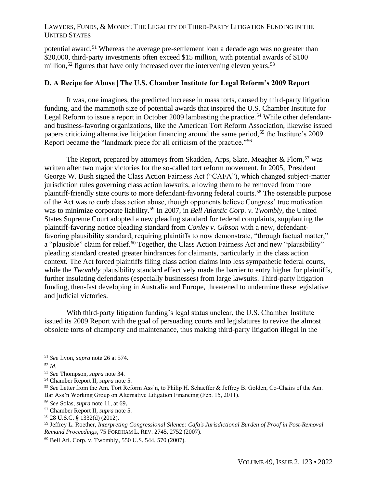potential award.<sup>51</sup> Whereas the average pre-settlement loan a decade ago was no greater than \$20,000, third-party investments often exceed \$15 million, with potential awards of \$100 million,<sup>52</sup> figures that have only increased over the intervening eleven years.<sup>53</sup>

## **D. A Recipe for Abuse | The U.S. Chamber Institute for Legal Reform's 2009 Report**

It was, one imagines, the predicted increase in mass torts, caused by third-party litigation funding, and the mammoth size of potential awards that inspired the U.S. Chamber Institute for Legal Reform to issue a report in October 2009 lambasting the practice.<sup>54</sup> While other defendantand business-favoring organizations, like the American Tort Reform Association, likewise issued papers criticizing alternative litigation financing around the same period,<sup>55</sup> the Institute's 2009 Report became the "landmark piece for all criticism of the practice."<sup>56</sup>

The Report, prepared by attorneys from Skadden, Arps, Slate, Meagher  $\&$  Flom,  $57$  was written after two major victories for the so-called tort reform movement. In 2005, President George W. Bush signed the Class Action Fairness Act ("CAFA"), which changed subject-matter jurisdiction rules governing class action lawsuits, allowing them to be removed from more plaintiff-friendly state courts to more defendant-favoring federal courts.<sup>58</sup> The ostensible purpose of the Act was to curb class action abuse, though opponents believe Congress' true motivation was to minimize corporate liability.<sup>59</sup> In 2007, in *Bell Atlantic Corp. v. Twombly*, the United States Supreme Court adopted a new pleading standard for federal complaints, supplanting the plaintiff-favoring notice pleading standard from *Conley v. Gibson* with a new, defendantfavoring plausibility standard, requiring plaintiffs to now demonstrate, "through factual matter," a "plausible" claim for relief.<sup>60</sup> Together, the Class Action Fairness Act and new "plausibility" pleading standard created greater hindrances for claimants, particularly in the class action context. The Act forced plaintiffs filing class action claims into less sympathetic federal courts, while the *Twombly* plausibility standard effectively made the barrier to entry higher for plaintiffs, further insulating defendants (especially businesses) from large lawsuits. Third-party litigation funding, then-fast developing in Australia and Europe, threatened to undermine these legislative and judicial victories.

With third-party litigation funding's legal status unclear, the U.S. Chamber Institute issued its 2009 Report with the goal of persuading courts and legislatures to revive the almost obsolete torts of champerty and maintenance, thus making third-party litigation illegal in the

<sup>51</sup> *[See](https://www.uclalawreview.org/revolution-in-progress-third-party-funding-of-american-litigation/)* [Lyon,](https://www.uclalawreview.org/revolution-in-progress-third-party-funding-of-american-litigation/) *[supra](https://www.uclalawreview.org/revolution-in-progress-third-party-funding-of-american-litigation/)* [note 26](https://www.uclalawreview.org/revolution-in-progress-third-party-funding-of-american-litigation/) at 574[.](https://www.uclalawreview.org/revolution-in-progress-third-party-funding-of-american-litigation/)

<sup>52</sup> *[Id](https://www.uclalawreview.org/revolution-in-progress-third-party-funding-of-american-litigation/)*[.](https://www.uclalawreview.org/revolution-in-progress-third-party-funding-of-american-litigation/)

<sup>53</sup> *[See](https://static1.squarespace.com/static/5c6b0e19e8ba449a332c79a4/t/5f37092c55fedf5fa68d2cd7/1597442348200/United+States.pdf)* [Thompson,](https://static1.squarespace.com/static/5c6b0e19e8ba449a332c79a4/t/5f37092c55fedf5fa68d2cd7/1597442348200/United+States.pdf) *[supra](https://static1.squarespace.com/static/5c6b0e19e8ba449a332c79a4/t/5f37092c55fedf5fa68d2cd7/1597442348200/United+States.pdf)* [note 34.](https://static1.squarespace.com/static/5c6b0e19e8ba449a332c79a4/t/5f37092c55fedf5fa68d2cd7/1597442348200/United+States.pdf)

<sup>54</sup> [Chamber Report II,](https://legaltimes.typepad.com/files/thirdpartylitigationfinancing.pdf) *[supra](https://legaltimes.typepad.com/files/thirdpartylitigationfinancing.pdf)* [note 5.](https://legaltimes.typepad.com/files/thirdpartylitigationfinancing.pdf)

<sup>55</sup> *See* [Letter from the Am. Tort Reform Ass'n, to Philip H. Schaeffer & Jeffrey B. Golden, Co-Chairs of the Am.](https://www.americanbar.org/content/dam/aba/administrative/ethics_2020/20111128-alf_white_paper_comments_all.pdf)  [Bar Ass'n Working Group on Alternative Litigation Financing \(Feb. 15, 2011\).](https://www.americanbar.org/content/dam/aba/administrative/ethics_2020/20111128-alf_white_paper_comments_all.pdf)

<sup>56</sup> *[See](https://iris.unica.it/retrieve/handle/11584/248711/300802/Tesididottorato_GianMarco_Solas.pdf)* [Solas,](https://iris.unica.it/retrieve/handle/11584/248711/300802/Tesididottorato_GianMarco_Solas.pdf) *[supra](https://iris.unica.it/retrieve/handle/11584/248711/300802/Tesididottorato_GianMarco_Solas.pdf)* [note 11, at 69](https://iris.unica.it/retrieve/handle/11584/248711/300802/Tesididottorato_GianMarco_Solas.pdf)[.](https://iris.unica.it/retrieve/handle/11584/248711/300802/Tesididottorato_GianMarco_Solas.pdf)

<sup>57</sup> [Chamber Report II,](https://legaltimes.typepad.com/files/thirdpartylitigationfinancing.pdf) *[supra](https://legaltimes.typepad.com/files/thirdpartylitigationfinancing.pdf)* [note 5.](https://legaltimes.typepad.com/files/thirdpartylitigationfinancing.pdf)

<sup>58</sup> [28 U.S.C.](https://www.law.cornell.edu/uscode/text/28/1332) **[§](https://www.law.cornell.edu/uscode/text/28/1332)** [1332\(d\) \(2012\).](https://www.law.cornell.edu/uscode/text/28/1332)

<sup>59</sup> [Jeffrey L. Roether,](https://ir.lawnet.fordham.edu/cgi/viewcontent.cgi?article=4271&context=flr) *[Interpreting Congressional Silence: Cafa's Jurisdictional Burden of Proof in Post-Removal](https://ir.lawnet.fordham.edu/cgi/viewcontent.cgi?article=4271&context=flr)  [Remand Proceedings](https://ir.lawnet.fordham.edu/cgi/viewcontent.cgi?article=4271&context=flr)*[, 75 F](https://ir.lawnet.fordham.edu/cgi/viewcontent.cgi?article=4271&context=flr)[ORDHAM](https://ir.lawnet.fordham.edu/cgi/viewcontent.cgi?article=4271&context=flr) L. REV. [2745, 2752 \(2007\).](https://ir.lawnet.fordham.edu/cgi/viewcontent.cgi?article=4271&context=flr)

<sup>60</sup> [Bell Atl. Corp. v. Twombly](https://supreme.justia.com/cases/federal/us/550/544/)[,](https://supreme.justia.com/cases/federal/us/550/544/) [550 U.S. 544, 570 \(2007\).](https://supreme.justia.com/cases/federal/us/550/544/)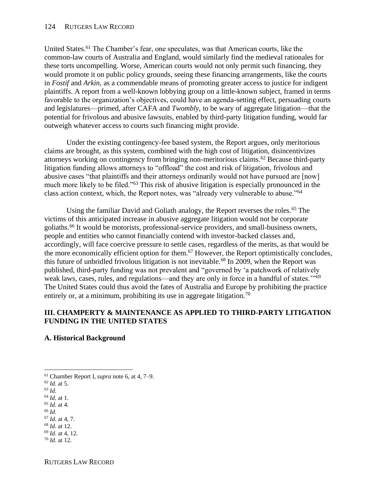United States.<sup>61</sup> The Chamber's fear, one speculates, was that American courts, like the common-law courts of Australia and England, would similarly find the medieval rationales for these torts uncompelling. Worse, American courts would not only permit such financing, they would promote it on public policy grounds, seeing these financing arrangements, like the courts in *Fostif* and *Arkin*, as a commendable means of promoting greater access to justice for indigent plaintiffs. A report from a well-known lobbying group on a little-known subject, framed in terms favorable to the organization's objectives, could have an agenda-setting effect, persuading courts and legislatures—primed, after CAFA and *Twombly*, to be wary of aggregate litigation—that the potential for frivolous and abusive lawsuits, enabled by third-party litigation funding, would far outweigh whatever access to courts such financing might provide.

Under the existing contingency-fee based system, the Report argues, only meritorious claims are brought, as this system, combined with the high cost of litigation, disincentivizes attorneys working on contingency from bringing non-meritorious claims.<sup>62</sup> Because third-party litigation funding allows attorneys to "offload" the cost and risk of litigation, frivolous and abusive cases "that plaintiffs and their attorneys ordinarily would not have pursued are [now] much more likely to be filed."<sup>63</sup> This risk of abusive litigation is especially pronounced in the class action context, which, the Report notes, was "already very vulnerable to abuse."<sup>64</sup>

Using the familiar David and Goliath analogy, the Report reverses the roles.<sup>65</sup> The victims of this anticipated increase in abusive aggregate litigation would not be corporate goliaths.<sup>66</sup> It would be motorists, professional-service providers, and small-business owners, people and entities who cannot financially contend with investor-backed classes and, accordingly, will face coercive pressure to settle cases, regardless of the merits, as that would be the more economically efficient option for them.<sup>67</sup> However, the Report optimistically concludes, this future of unbridled frivolous litigation is not inevitable.<sup>68</sup> In 2009, when the Report was published, third-party funding was not prevalent and "governed by 'a patchwork of relatively weak laws, cases, rules, and regulations—and they are only in force in a handful of states."<sup>69</sup> The United States could thus avoid the fates of Australia and Europe by prohibiting the practice entirely or, at a minimum, prohibiting its use in aggregate litigation.<sup>70</sup>

### **III. CHAMPERTY & MAINTENANCE AS APPLIED TO THIRD-PARTY LITIGATION FUNDING IN THE UNITED STATES**

## **A. Historical Background**

- <sup>61</sup> [Chamber](https://legaltimes.typepad.com/files/thirdpartylitigationfinancing.pdf) Report I, *[supra](https://legaltimes.typepad.com/files/thirdpartylitigationfinancing.pdf)* [note 6, at 4, 7–9.](https://legaltimes.typepad.com/files/thirdpartylitigationfinancing.pdf)
- <sup>62</sup> *[Id](https://legaltimes.typepad.com/files/thirdpartylitigationfinancing.pdf)*[. at 5.](https://legaltimes.typepad.com/files/thirdpartylitigationfinancing.pdf)
- <sup>63</sup> *[Id.](https://legaltimes.typepad.com/files/thirdpartylitigationfinancing.pdf)*
- <sup>64</sup> *[Id](https://legaltimes.typepad.com/files/thirdpartylitigationfinancing.pdf)*[. at 1.](https://legaltimes.typepad.com/files/thirdpartylitigationfinancing.pdf)
- <sup>65</sup> *[Id](https://legaltimes.typepad.com/files/thirdpartylitigationfinancing.pdf)*[. at 4.](https://legaltimes.typepad.com/files/thirdpartylitigationfinancing.pdf) <sup>66</sup> *[Id](https://legaltimes.typepad.com/files/thirdpartylitigationfinancing.pdf)*.
- 
- <sup>67</sup> *[Id](https://legaltimes.typepad.com/files/thirdpartylitigationfinancing.pdf)*[. at 4, 7.](https://legaltimes.typepad.com/files/thirdpartylitigationfinancing.pdf) <sup>68</sup> *Id.* [at 12.](https://legaltimes.typepad.com/files/thirdpartylitigationfinancing.pdf)
- <sup>69</sup> *[Id](https://legaltimes.typepad.com/files/thirdpartylitigationfinancing.pdf)*[. at 4, 12.](https://legaltimes.typepad.com/files/thirdpartylitigationfinancing.pdf)
- <sup>70</sup> *[Id](https://legaltimes.typepad.com/files/thirdpartylitigationfinancing.pdf)*[. at 12.](https://legaltimes.typepad.com/files/thirdpartylitigationfinancing.pdf)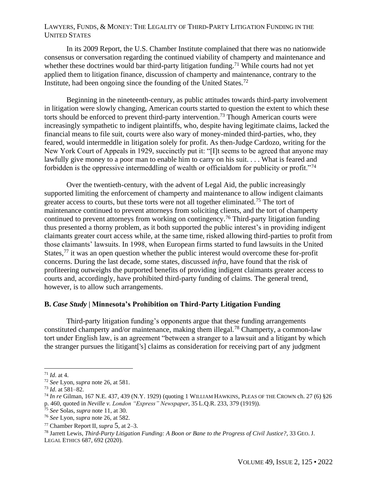In its 2009 Report, the U.S. Chamber Institute complained that there was no nationwide consensus or conversation regarding the continued viability of champerty and maintenance and whether these doctrines would bar third-party litigation funding.<sup>71</sup> While courts had not yet applied them to litigation finance, discussion of champerty and maintenance, contrary to the Institute, had been ongoing since the founding of the United States.<sup>72</sup>

Beginning in the nineteenth-century, as public attitudes towards third-party involvement in litigation were slowly changing, American courts started to question the extent to which these torts should be enforced to prevent third-party intervention.<sup>73</sup> Though American courts were increasingly sympathetic to indigent plaintiffs, who, despite having legitimate claims, lacked the financial means to file suit, courts were also wary of money-minded third-parties, who, they feared, would intermeddle in litigation solely for profit. As then-Judge Cardozo, writing for the New York Court of Appeals in 1929, succinctly put it: "[I]t seems to be agreed that anyone may lawfully give money to a poor man to enable him to carry on his suit. . . . What is feared and forbidden is the oppressive intermeddling of wealth or officialdom for publicity or profit."<sup>74</sup>

Over the twentieth-century, with the advent of Legal Aid, the public increasingly supported limiting the enforcement of champerty and maintenance to allow indigent claimants greater access to courts, but these torts were not all together eliminated.<sup>75</sup> The tort of maintenance continued to prevent attorneys from soliciting clients, and the tort of champerty continued to prevent attorneys from working on contingency.<sup>76</sup> Third-party litigation funding thus presented a thorny problem, as it both supported the public interest's in providing indigent claimants greater court access while, at the same time, risked allowing third-parties to profit from those claimants' lawsuits. In 1998, when European firms started to fund lawsuits in the United States,  $77$  it was an open question whether the public interest would overcome these for-profit concerns. During the last decade, some states, discussed *infra*, have found that the risk of profiteering outweighs the purported benefits of providing indigent claimants greater access to courts and, accordingly, have prohibited third-party funding of claims. The general trend, however, is to allow such arrangements.

#### **B.** *Case Study* **| Minnesota's Prohibition on Third-Party Litigation Funding**

Third-party litigation funding's opponents argue that these funding arrangements constituted champerty and/or maintenance, making them illegal.<sup>78</sup> Champerty, a common-law tort under English law, is an agreement "between a stranger to a lawsuit and a litigant by which the stranger pursues the litigant['s] claims as consideration for receiving part of any judgment

<sup>71</sup> *[Id](https://legaltimes.typepad.com/files/thirdpartylitigationfinancing.pdf)*[. at 4.](https://legaltimes.typepad.com/files/thirdpartylitigationfinancing.pdf)

<sup>72</sup> *[See](https://www.uclalawreview.org/revolution-in-progress-third-party-funding-of-american-litigation/)* [Lyon,](https://www.uclalawreview.org/revolution-in-progress-third-party-funding-of-american-litigation/) *[supra](https://www.uclalawreview.org/revolution-in-progress-third-party-funding-of-american-litigation/)* [note 26, at 581.](https://www.uclalawreview.org/revolution-in-progress-third-party-funding-of-american-litigation/)

<sup>73</sup> *[Id](https://www.uclalawreview.org/revolution-in-progress-third-party-funding-of-american-litigation/)*[. at 581–82.](https://www.uclalawreview.org/revolution-in-progress-third-party-funding-of-american-litigation/)

<sup>74</sup> *In re* [Gilman,](https://casetext.com/case/matter-of-gilman-3) 167 N.E. 437, 439 (N.Y. 1929) (quoting 1 WILLIAM HAWKINS, PLEAS OF THE CROWN ch. 27 (6) §26 p. 460, quoted in *Neville v. London "Express" Newspaper*, 35 L.Q.R. 233, 379 (1919)).

<sup>75</sup> *See* [Solas,](https://iris.unica.it/retrieve/handle/11584/248711/300802/Tesididottorato_GianMarco_Solas.pdf) *supra* note 11, at 30.

<sup>76</sup> *[See](https://www.uclalawreview.org/revolution-in-progress-third-party-funding-of-american-litigation/)* [Lyon,](https://www.uclalawreview.org/revolution-in-progress-third-party-funding-of-american-litigation/) *[supra](https://www.uclalawreview.org/revolution-in-progress-third-party-funding-of-american-litigation/)* [note 26, at 582.](https://www.uclalawreview.org/revolution-in-progress-third-party-funding-of-american-litigation/)

<sup>77</sup> Chamber Report [II,](about:blank) *[supra](about:blank)* [5](about:blank)[, at 2–3.](about:blank)

<sup>78</sup> [Jarrett Lewis,](https://www.law.georgetown.edu/legal-ethics-journal/wp-content/uploads/sites/24/2020/09/GT-GJLE200029.pdf) *[Third-Party Litigation Funding: A Boon or Bane to the Progress of Civil Justice?](https://www.law.georgetown.edu/legal-ethics-journal/wp-content/uploads/sites/24/2020/09/GT-GJLE200029.pdf)*[, 33](https://www.law.georgetown.edu/legal-ethics-journal/wp-content/uploads/sites/24/2020/09/GT-GJLE200029.pdf) G[EO](https://www.law.georgetown.edu/legal-ethics-journal/wp-content/uploads/sites/24/2020/09/GT-GJLE200029.pdf). J. L[EGAL](https://www.law.georgetown.edu/legal-ethics-journal/wp-content/uploads/sites/24/2020/09/GT-GJLE200029.pdf) ETHICS [687, 692 \(2020\).](https://www.law.georgetown.edu/legal-ethics-journal/wp-content/uploads/sites/24/2020/09/GT-GJLE200029.pdf)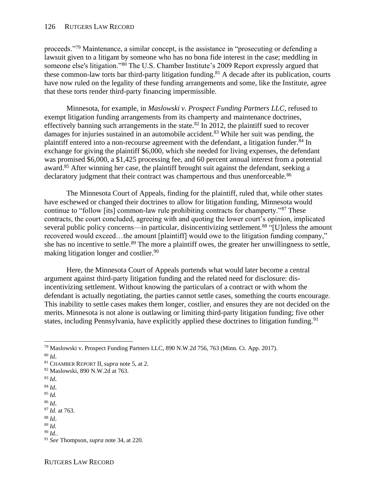proceeds."<sup>79</sup> Maintenance, a similar concept, is the assistance in "prosecuting or defending a lawsuit given to a litigant by someone who has no bona fide interest in the case; meddling in someone else's litigation."<sup>80</sup> The U.S. Chamber Institute's 2009 Report expressly argued that these common-law torts bar third-party litigation funding. <sup>81</sup> A decade after its publication, courts have now ruled on the legality of these funding arrangements and some, like the Institute, agree that these torts render third-party financing impermissible.

Minnesota, for example, in *Maslowski v. Prospect Funding Partners LLC*, refused to exempt litigation funding arrangements from its champerty and maintenance doctrines, effectively banning such arrangements in the state.<sup>82</sup> In 2012, the plaintiff sued to recover damages for injuries sustained in an automobile accident.<sup>83</sup> While her suit was pending, the plaintiff entered into a non-recourse agreement with the defendant, a litigation funder.<sup>84</sup> In exchange for giving the plaintiff \$6,000, which she needed for living expenses, the defendant was promised \$6,000, a \$1,425 processing fee, and 60 percent annual interest from a potential award.<sup>85</sup> After winning her case, the plaintiff brought suit against the defendant, seeking a declaratory judgment that their contract was champertous and thus unenforceable.<sup>86</sup>

The Minnesota Court of Appeals, finding for the plaintiff, ruled that, while other states have eschewed or changed their doctrines to allow for litigation funding, Minnesota would continue to "follow [its] common-law rule prohibiting contracts for champerty."<sup>87</sup> These contracts, the court concluded, agreeing with and quoting the lower court's opinion, implicated several public policy concerns—in particular, disincentivizing settlement.<sup>88</sup> "[U]nless the amount recovered would exceed…the amount [plaintiff] would owe to the litigation funding company," she has no incentive to settle.<sup>89</sup> The more a plaintiff owes, the greater her unwillingness to settle, making litigation longer and costlier.<sup>90</sup>

Here, the Minnesota Court of Appeals portends what would later become a central argument against third-party litigation funding and the related need for disclosure: disincentivizing settlement. Without knowing the particulars of a contract or with whom the defendant is actually negotiating, the parties cannot settle cases, something the courts encourage. This inability to settle cases makes them longer, costlier, and ensures they are not decided on the merits. Minnesota is not alone is outlawing or limiting third-party litigation funding; five other states, including Pennsylvania, have explicitly applied these doctrines to litigation funding.<sup>91</sup>

- <sup>83</sup> *[Id](https://casetext.com/case/maslowski-v-prospect-funding-partners-llc-1)*[.](https://casetext.com/case/maslowski-v-prospect-funding-partners-llc-1)
- <sup>84</sup> *[Id](https://casetext.com/case/maslowski-v-prospect-funding-partners-llc-1)*[.](https://casetext.com/case/maslowski-v-prospect-funding-partners-llc-1)

<sup>86</sup> *[Id](https://casetext.com/case/maslowski-v-prospect-funding-partners-llc-1)*[.](https://casetext.com/case/maslowski-v-prospect-funding-partners-llc-1)

<sup>88</sup> *[Id](https://casetext.com/case/maslowski-v-prospect-funding-partners-llc-1)*[.](https://casetext.com/case/maslowski-v-prospect-funding-partners-llc-1)

<sup>79</sup> [Maslowski v. Prospect Funding Partners LLC, 890 N.W.2d 756, 763 \(Minn. Ct. App. 2017\).](https://casetext.com/case/maslowski-v-prospect-funding-partners-llc-1)

<sup>80</sup> *[Id](https://casetext.com/case/maslowski-v-prospect-funding-partners-llc-1)*[.](https://casetext.com/case/maslowski-v-prospect-funding-partners-llc-1)

<sup>81</sup> CHAMBER REPORT [II,](about:blank) *[supra](about:blank)* [note 5, at 2.](about:blank)

<sup>82</sup> [Maslowski, 890 N.W.2d at 763.](https://casetext.com/case/maslowski-v-prospect-funding-partners-llc-1)

<sup>85</sup> *[Id.](https://casetext.com/case/maslowski-v-prospect-funding-partners-llc-1)*

<sup>87</sup> *[Id](https://casetext.com/case/maslowski-v-prospect-funding-partners-llc-1)*[. at 763.](https://casetext.com/case/maslowski-v-prospect-funding-partners-llc-1)

<sup>89</sup> *[Id.](https://casetext.com/case/maslowski-v-prospect-funding-partners-llc-1)*

<sup>90</sup> *[Id.](https://casetext.com/case/maslowski-v-prospect-funding-partners-llc-1)*.

<sup>91</sup> *[See](https://static1.squarespace.com/static/5c6b0e19e8ba449a332c79a4/t/5f37092c55fedf5fa68d2cd7/1597442348200/United+States.pdf)* [Thompson,](https://static1.squarespace.com/static/5c6b0e19e8ba449a332c79a4/t/5f37092c55fedf5fa68d2cd7/1597442348200/United+States.pdf) *[supra](https://static1.squarespace.com/static/5c6b0e19e8ba449a332c79a4/t/5f37092c55fedf5fa68d2cd7/1597442348200/United+States.pdf)* [note 34, at 220.](https://static1.squarespace.com/static/5c6b0e19e8ba449a332c79a4/t/5f37092c55fedf5fa68d2cd7/1597442348200/United+States.pdf)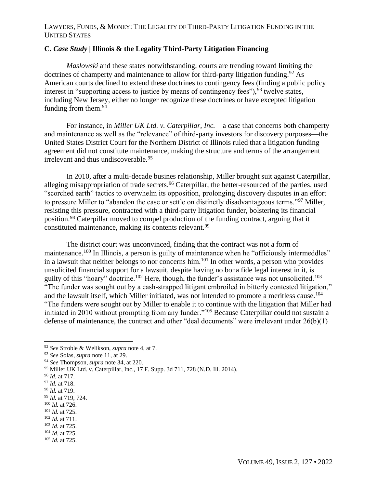## **C.** *Case Study* **| Illinois & the Legality Third-Party Litigation Financing**

*Maslowski* and these states notwithstanding, courts are trending toward limiting the doctrines of champerty and maintenance to allow for third-party litigation funding.<sup>92</sup> As American courts declined to extend these doctrines to contingency fees (finding a public policy interest in "supporting access to justice by means of contingency fees"),  $93$  twelve states, including New Jersey, either no longer recognize these doctrines or have excepted litigation funding from them.<sup>94</sup>

For instance, in *Miller UK Ltd. v. Caterpillar, Inc.*—a case that concerns both champerty and maintenance as well as the "relevance" of third-party investors for discovery purposes—the United States District Court for the Northern District of Illinois ruled that a litigation funding agreement did not constitute maintenance, making the structure and terms of the arrangement irrelevant and thus undiscoverable.<sup>95</sup>

In 2010, after a multi-decade busines relationship, Miller brought suit against Caterpillar, alleging misappropriation of trade secrets.<sup>96</sup> Caterpillar, the better-resourced of the parties, used "scorched earth" tactics to overwhelm its opposition, prolonging discovery disputes in an effort to pressure Miller to "abandon the case or settle on distinctly disadvantageous terms."<sup>97</sup> Miller, resisting this pressure, contracted with a third-party litigation funder, bolstering its financial position.<sup>98</sup> Caterpillar moved to compel production of the funding contract, arguing that it constituted maintenance, making its contents relevant.<sup>99</sup>

The district court was unconvinced, finding that the contract was not a form of maintenance.<sup>100</sup> In Illinois, a person is guilty of maintenance when he "officiously intermeddles" in a lawsuit that neither belongs to nor concerns him.<sup>101</sup> In other words, a person who provides unsolicited financial support for a lawsuit, despite having no bona fide legal interest in it, is guilty of this "hoary" doctrine.<sup>102</sup> Here, though, the funder's assistance was not unsolicited.<sup>103</sup> "The funder was sought out by a cash-strapped litigant embroiled in bitterly contested litigation," and the lawsuit itself, which Miller initiated, was not intended to promote a meritless cause.<sup>104</sup> "The funders were sought out by Miller to enable it to continue with the litigation that Miller had initiated in 2010 without prompting from any funder."<sup>105</sup> Because Caterpillar could not sustain a defense of maintenance, the contract and other "deal documents" were irrelevant under 26(b)(1)

<sup>92</sup> *See* [Stroble & Welikson,](https://www.iadclaw.org/assets/1/17/Third-Party_Litigation_Funding_-_A_Review_of_Recent_Industry_Developments2.pdf?4180) *supra* note 4, at 7.

<sup>93</sup> *[See](https://iris.unica.it/retrieve/handle/11584/248711/300802/Tesididottorato_GianMarco_Solas.pdf)* [Solas,](https://iris.unica.it/retrieve/handle/11584/248711/300802/Tesididottorato_GianMarco_Solas.pdf) *[supra](https://iris.unica.it/retrieve/handle/11584/248711/300802/Tesididottorato_GianMarco_Solas.pdf)* [note 11, at 29.](https://iris.unica.it/retrieve/handle/11584/248711/300802/Tesididottorato_GianMarco_Solas.pdf)

<sup>94</sup> *[See](https://static1.squarespace.com/static/5c6b0e19e8ba449a332c79a4/t/5f37092c55fedf5fa68d2cd7/1597442348200/United+States.pdf)* [Thompson,](https://static1.squarespace.com/static/5c6b0e19e8ba449a332c79a4/t/5f37092c55fedf5fa68d2cd7/1597442348200/United+States.pdf) *[supra](https://static1.squarespace.com/static/5c6b0e19e8ba449a332c79a4/t/5f37092c55fedf5fa68d2cd7/1597442348200/United+States.pdf)* [note 34, at 220.](https://static1.squarespace.com/static/5c6b0e19e8ba449a332c79a4/t/5f37092c55fedf5fa68d2cd7/1597442348200/United+States.pdf)

<sup>95</sup> [Miller UK Ltd. v. Caterpillar, Inc., 17 F. Supp. 3d 711, 728 \(N.D. Ill. 2014\).](https://casetext.com/case/miller-uk-ltd-v-caterpillar-inc-6?)

<sup>96</sup> *[Id.](https://casetext.com/case/miller-uk-ltd-v-caterpillar-inc-6?)* [at 717.](https://casetext.com/case/miller-uk-ltd-v-caterpillar-inc-6?)

<sup>97</sup> *[Id.](https://casetext.com/case/miller-uk-ltd-v-caterpillar-inc-6?)* [at 718.](https://casetext.com/case/miller-uk-ltd-v-caterpillar-inc-6?)

<sup>98</sup> *[Id.](https://casetext.com/case/miller-uk-ltd-v-caterpillar-inc-6?)* [at 719.](https://casetext.com/case/miller-uk-ltd-v-caterpillar-inc-6?)

<sup>99</sup> *[Id.](https://casetext.com/case/miller-uk-ltd-v-caterpillar-inc-6?)* [at 719, 724.](https://casetext.com/case/miller-uk-ltd-v-caterpillar-inc-6?)

<sup>100</sup> *[Id.](https://casetext.com/case/miller-uk-ltd-v-caterpillar-inc-6?)* [at 726.](https://casetext.com/case/miller-uk-ltd-v-caterpillar-inc-6?)

<sup>101</sup> *[Id.](https://casetext.com/case/miller-uk-ltd-v-caterpillar-inc-6?)* [at 725.](https://casetext.com/case/miller-uk-ltd-v-caterpillar-inc-6?)

<sup>102</sup> *[Id.](https://casetext.com/case/miller-uk-ltd-v-caterpillar-inc-6?)* [at 711.](https://casetext.com/case/miller-uk-ltd-v-caterpillar-inc-6?)

<sup>103</sup> *[Id.](https://casetext.com/case/miller-uk-ltd-v-caterpillar-inc-6?)* [at 725.](https://casetext.com/case/miller-uk-ltd-v-caterpillar-inc-6?) <sup>104</sup> *[Id.](https://casetext.com/case/miller-uk-ltd-v-caterpillar-inc-6?)* [at 725.](https://casetext.com/case/miller-uk-ltd-v-caterpillar-inc-6?)

<sup>105</sup> *[Id.](https://casetext.com/case/miller-uk-ltd-v-caterpillar-inc-6?)* [at 725.](https://casetext.com/case/miller-uk-ltd-v-caterpillar-inc-6?)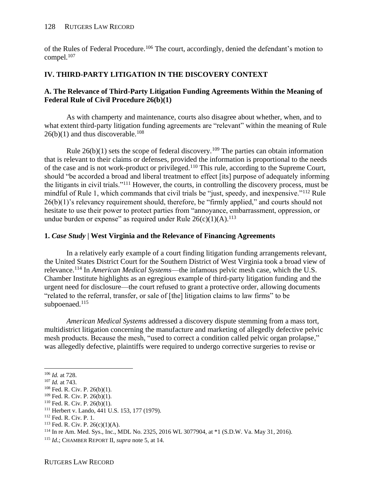of the Rules of Federal Procedure.<sup>106</sup> The court, accordingly, denied the defendant's motion to compel. $107$ 

# **IV. THIRD-PARTY LITIGATION IN THE DISCOVERY CONTEXT**

## **A. The Relevance of Third-Party Litigation Funding Agreements Within the Meaning of Federal Rule of Civil Procedure 26(b)(1)**

As with champerty and maintenance, courts also disagree about whether, when, and to what extent third-party litigation funding agreements are "relevant" within the meaning of Rule  $26(b)(1)$  and thus discoverable.<sup>108</sup>

Rule  $26(b)(1)$  sets the scope of federal discovery.<sup>109</sup> The parties can obtain information that is relevant to their claims or defenses, provided the information is proportional to the needs of the case and is not work-product or privileged.<sup>110</sup> This rule, according to the Supreme Court, should "be accorded a broad and liberal treatment to effect [its] purpose of adequately informing the litigants in civil trials."<sup>111</sup> However, the courts, in controlling the discovery process, must be mindful of Rule 1, which commands that civil trials be "just, speedy, and inexpensive."<sup>112</sup> Rule 26(b)(1)'s relevancy requirement should, therefore, be "firmly applied," and courts should not hesitate to use their power to protect parties from "annoyance, embarrassment, oppression, or undue burden or expense" as required under Rule  $26(c)(1)(A).^{113}$ 

## **1.** *Case Study* **| West Virginia and the Relevance of Financing Agreements**

In a relatively early example of a court finding litigation funding arrangements relevant, the United States District Court for the Southern District of West Virginia took a broad view of relevance.<sup>114</sup> In *American Medical Systems*—the infamous pelvic mesh case, which the U.S. Chamber Institute highlights as an egregious example of third-party litigation funding and the urgent need for disclosure—the court refused to grant a protective order, allowing documents "related to the referral, transfer, or sale of [the] litigation claims to law firms" to be subpoenaed.<sup>115</sup>

*American Medical Systems* addressed a discovery dispute stemming from a mass tort, multidistrict litigation concerning the manufacture and marketing of allegedly defective pelvic mesh products. Because the mesh, "used to correct a condition called pelvic organ prolapse," was allegedly defective, plaintiffs were required to undergo corrective surgeries to revise or

<sup>106</sup> *[Id.](https://casetext.com/case/miller-uk-ltd-v-caterpillar-inc-6?)* [at 728.](https://casetext.com/case/miller-uk-ltd-v-caterpillar-inc-6?)

<sup>107</sup> *[Id.](https://casetext.com/case/miller-uk-ltd-v-caterpillar-inc-6?)* [at 743.](https://casetext.com/case/miller-uk-ltd-v-caterpillar-inc-6?)

<sup>108</sup> [Fed. R. Civ. P.](https://www.law.cornell.edu/rules/frcp/rule_26) [26\(b\)\(1\).](https://www.law.cornell.edu/rules/frcp/rule_26)

<sup>109</sup> [Fed. R. Civ. P.](https://www.law.cornell.edu/rules/frcp/rule_26) [26\(b\)\(1\).](https://www.law.cornell.edu/rules/frcp/rule_26)

<sup>110</sup> [Fed. R. Civ. P.](https://www.law.cornell.edu/rules/frcp/rule_26) [26\(b\)\(1\).](https://www.law.cornell.edu/rules/frcp/rule_26)

<sup>111</sup> [Herbert v. Lando, 441 U.S. 153, 177 \(1979\).](https://supreme.justia.com/cases/federal/us/441/153/#tab-opinion-1953117)

<sup>112</sup> Fed. [R. Civ. P. 1.](https://www.law.cornell.edu/rules/frcp/rule_1)

 $113$  [Fed. R. Civ. P. 26\(c\)\(1\)\(A\).](https://www.law.cornell.edu/rules/frcp/rule_26)

<sup>114</sup> In re Am. Med. Sys., Inc., MD[L No. 2325, 2016 WL 3077904, at \\*1 \(S.D.W. Va. May 31, 2016\).](https://casetext.com/case/in-re-am-med-sys-inc)

<sup>115</sup> *[Id](https://casetext.com/case/in-re-am-med-sys-inc)*[.](about:blank); CHAMBER REPORT I[I,](about:blank) *supra* note 5, at 14.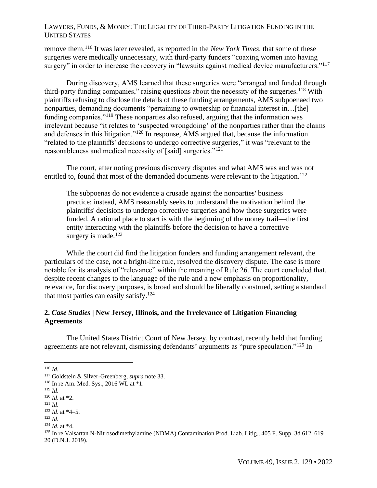remove them.<sup>116</sup> It was later revealed, as reported in the *New York Times*, that some of these surgeries were medically unnecessary, with third-party funders "coaxing women into having surgery" in order to increase the recovery in "lawsuits against medical device manufacturers."<sup>117</sup>

During discovery, AMS learned that these surgeries were "arranged and funded through third-party funding companies," raising questions about the necessity of the surgeries.<sup>118</sup> With plaintiffs refusing to disclose the details of these funding arrangements, AMS subpoenaed two nonparties, demanding documents "pertaining to ownership or financial interest in…[the] funding companies."<sup>119</sup> These nonparties also refused, arguing that the information was irrelevant because "it relates to 'suspected wrongdoing' of the nonparties rather than the claims and defenses in this litigation."<sup>120</sup> In response, AMS argued that, because the information "related to the plaintiffs' decisions to undergo corrective surgeries," it was "relevant to the reasonableness and medical necessity of [said] surgeries."<sup>121</sup>

The court, after noting previous discovery disputes and what AMS was and was not entitled to, found that most of the demanded documents were relevant to the litigation.<sup>122</sup>

The subpoenas do not evidence a crusade against the nonparties' business practice; instead, AMS reasonably seeks to understand the motivation behind the plaintiffs' decisions to undergo corrective surgeries and how those surgeries were funded. A rational place to start is with the beginning of the money trail—the first entity interacting with the plaintiffs before the decision to have a corrective surgery is made. $123$ 

While the court did find the litigation funders and funding arrangement relevant, the particulars of the case, not a bright-line rule, resolved the discovery dispute. The case is more notable for its analysis of "relevance" within the meaning of Rule 26. The court concluded that, despite recent changes to the language of the rule and a new emphasis on proportionality, relevance, for discovery purposes, is broad and should be liberally construed, setting a standard that most parties can easily satisfy.<sup>124</sup>

## **2.** *Case Studies* **| New Jersey, Illinois, and the Irrelevance of Litigation Financing Agreements**

The United States District Court of New Jersey, by contrast, recently held that funding agreements are not relevant, dismissing defendants' arguments as "pure speculation."<sup>125</sup> In

<sup>116</sup> *[Id](https://casetext.com/case/in-re-am-med-sys-inc)*.

<sup>117</sup> [Goldstein & Silver-Greenberg,](https://www.nytimes.com/2018/06/25/business/hedge-funds-mass-torts-litigation-finance.html) *supra* note 33.

<sup>118</sup> [In re Am. Med. Sys., 2016 WL at \\*1.](https://casetext.com/case/in-re-am-med-sys-inc)

<sup>119</sup> *[Id](https://casetext.com/case/in-re-am-med-sys-inc)*.

<sup>120</sup> *[Id](https://casetext.com/case/in-re-am-med-sys-inc)*. at \*2.

<sup>121</sup> *[Id](https://casetext.com/case/in-re-am-med-sys-inc)*.

<sup>122</sup> *[Id](https://casetext.com/case/in-re-am-med-sys-inc)*. at \*4–5.

<sup>123</sup> *[Id](https://casetext.com/case/in-re-am-med-sys-inc)*.

<sup>124</sup> *[Id](https://casetext.com/case/in-re-am-med-sys-inc)*. at \*4.

<sup>125</sup> [In re](https://casetext.com/case/in-re-valsartan-n-nitrosodimethylamine-ndma-contamination-prods-liab-litig) [Valsartan N-Nitrosodimethylamine \(NDMA\) Contamination Prod. Liab. Litig., 405 F. Supp. 3d 612, 619–](https://casetext.com/case/in-re-valsartan-n-nitrosodimethylamine-ndma-contamination-prods-liab-litig) [20 \(D.N.J. 2019\).](https://casetext.com/case/in-re-valsartan-n-nitrosodimethylamine-ndma-contamination-prods-liab-litig)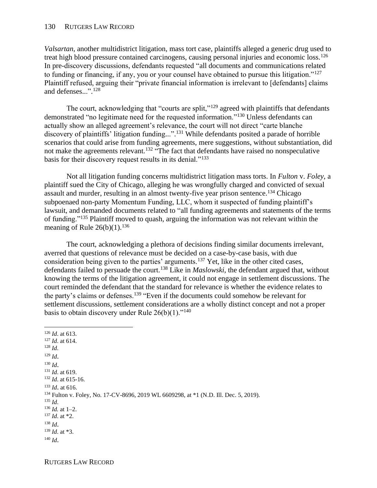*Valsartan*, another multidistrict litigation, mass tort case, plaintiffs alleged a generic drug used to treat high blood pressure contained carcinogens, causing personal injuries and economic loss.<sup>126</sup> In pre-discovery discussions, defendants requested "all documents and communications related to funding or financing, if any, you or your counsel have obtained to pursue this litigation."<sup>127</sup> Plaintiff refused, arguing their "private financial information is irrelevant to [defendants] claims and defenses...". 128

The court, acknowledging that "courts are split,"<sup>129</sup> agreed with plaintiffs that defendants demonstrated "no legitimate need for the requested information."<sup>130</sup> Unless defendants can actually show an alleged agreement's relevance, the court will not direct "carte blanche discovery of plaintiffs' litigation funding...". <sup>131</sup> While defendants posited a parade of horrible scenarios that could arise from funding agreements, mere suggestions, without substantiation, did not make the agreements relevant.<sup>132</sup> "The fact that defendants have raised no nonspeculative basis for their discovery request results in its denial."<sup>133</sup>

Not all litigation funding concerns multidistrict litigation mass torts. In *Fulton* v. *Foley*, a plaintiff sued the City of Chicago, alleging he was wrongfully charged and convicted of sexual assault and murder, resulting in an almost twenty-five year prison sentence.<sup>134</sup> Chicago subpoenaed non-party Momentum Funding, LLC, whom it suspected of funding plaintiff's lawsuit, and demanded documents related to "all funding agreements and statements of the terms of funding."<sup>135</sup> Plaintiff moved to quash, arguing the information was not relevant within the meaning of Rule  $26(b)(1)$ .<sup>136</sup>

The court, acknowledging a plethora of decisions finding similar documents irrelevant, averred that questions of relevance must be decided on a case-by-case basis, with due consideration being given to the parties' arguments.<sup>137</sup> Yet, like in the other cited cases, defendants failed to persuade the court.<sup>138</sup> Like in *Maslowski*, the defendant argued that, without knowing the terms of the litigation agreement, it could not engage in settlement discussions. The court reminded the defendant that the standard for relevance is whether the evidence relates to the party's claims or defenses.<sup>139</sup> "Even if the documents could somehow be relevant for settlement discussions, settlement considerations are a wholly distinct concept and not a proper basis to obtain discovery under Rule  $26(b)(1)$ ."<sup>140</sup>

<sup>126</sup> *[Id](https://casetext.com/case/in-re-valsartan-n-nitrosodimethylamine-ndma-contamination-prods-liab-litig)*[. at 613.](https://casetext.com/case/in-re-valsartan-n-nitrosodimethylamine-ndma-contamination-prods-liab-litig) <sup>127</sup> *[Id](https://casetext.com/case/in-re-valsartan-n-nitrosodimethylamine-ndma-contamination-prods-liab-litig)*[. at 614.](https://casetext.com/case/in-re-valsartan-n-nitrosodimethylamine-ndma-contamination-prods-liab-litig) <sup>128</sup> *[Id](https://casetext.com/case/in-re-valsartan-n-nitrosodimethylamine-ndma-contamination-prods-liab-litig)*. <sup>129</sup> *[Id](https://casetext.com/case/in-re-valsartan-n-nitrosodimethylamine-ndma-contamination-prods-liab-litig)*[.](https://casetext.com/case/in-re-valsartan-n-nitrosodimethylamine-ndma-contamination-prods-liab-litig) <sup>130</sup> *[Id](https://casetext.com/case/in-re-valsartan-n-nitrosodimethylamine-ndma-contamination-prods-liab-litig)*[.](https://casetext.com/case/in-re-valsartan-n-nitrosodimethylamine-ndma-contamination-prods-liab-litig) <sup>131</sup> *[Id](https://casetext.com/case/in-re-valsartan-n-nitrosodimethylamine-ndma-contamination-prods-liab-litig)*[. at 619.](https://casetext.com/case/in-re-valsartan-n-nitrosodimethylamine-ndma-contamination-prods-liab-litig) <sup>132</sup> *[Id](https://casetext.com/case/in-re-valsartan-n-nitrosodimethylamine-ndma-contamination-prods-liab-litig)*[. at 615-16.](https://casetext.com/case/in-re-valsartan-n-nitrosodimethylamine-ndma-contamination-prods-liab-litig) <sup>133</sup> *[Id](https://casetext.com/case/in-re-valsartan-n-nitrosodimethylamine-ndma-contamination-prods-liab-litig)*[.](https://casetext.com/case/in-re-valsartan-n-nitrosodimethylamine-ndma-contamination-prods-liab-litig) at 616. <sup>134</sup> [Fulton v. Foley, No. 17-CV-8696, 2019 WL 6609298, at \\*1 \(N.D. Ill. Dec. 5, 2019\).](https://casetext.com/case/fulton-v-foley) <sup>135</sup> *[Id](https://casetext.com/case/fulton-v-foley)*. <sup>136</sup> *Id.* [at 1–2.](https://casetext.com/case/fulton-v-foley) <sup>137</sup> *[Id](https://casetext.com/case/fulton-v-foley)*[. at \\*2.](https://casetext.com/case/fulton-v-foley) <sup>138</sup> *[Id](https://casetext.com/case/fulton-v-foley)*[.](https://casetext.com/case/fulton-v-foley) <sup>139</sup> *[Id](https://casetext.com/case/fulton-v-foley)*[. at \\*3.](https://casetext.com/case/fulton-v-foley) <sup>140</sup> *[Id](https://casetext.com/case/fulton-v-foley)*[.](https://casetext.com/case/fulton-v-foley)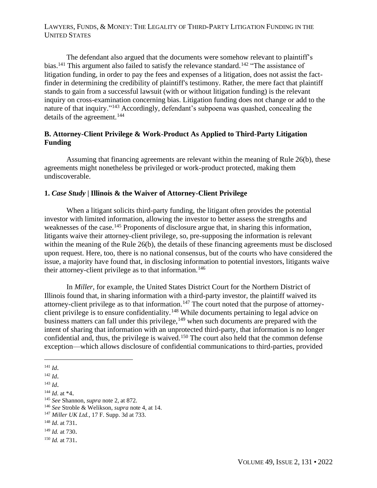The defendant also argued that the documents were somehow relevant to plaintiff's bias.<sup>141</sup> This argument also failed to satisfy the relevance standard.<sup>142</sup> "The assistance of litigation funding, in order to pay the fees and expenses of a litigation, does not assist the factfinder in determining the credibility of plaintiff's testimony. Rather, the mere fact that plaintiff stands to gain from a successful lawsuit (with or without litigation funding) is the relevant inquiry on cross-examination concerning bias. Litigation funding does not change or add to the nature of that inquiry."<sup>143</sup> Accordingly, defendant's subpoena was quashed, concealing the details of the agreement.<sup>144</sup>

## **B. Attorney-Client Privilege & Work-Product As Applied to Third-Party Litigation Funding**

Assuming that financing agreements are relevant within the meaning of Rule 26(b), these agreements might nonetheless be privileged or work-product protected, making them undiscoverable.

### **1.** *Case Study* **| Illinois & the Waiver of Attorney-Client Privilege**

When a litigant solicits third-party funding, the litigant often provides the potential investor with limited information, allowing the investor to better assess the strengths and weaknesses of the case.<sup>145</sup> Proponents of disclosure argue that, in sharing this information, litigants waive their attorney-client privilege, so, pre-supposing the information is relevant within the meaning of the Rule 26(b), the details of these financing agreements must be disclosed upon request. Here, too, there is no national consensus, but of the courts who have considered the issue, a majority have found that, in disclosing information to potential investors, litigants waive their attorney-client privilege as to that information.<sup>146</sup>

In *Miller*, for example, the United States District Court for the Northern District of Illinois found that, in sharing information with a third-party investor, the plaintiff waived its attorney-client privilege as to that information.<sup>147</sup> The court noted that the purpose of attorneyclient privilege is to ensure confidentiality.<sup>148</sup> While documents pertaining to legal advice on business matters can fall under this privilege, $149$  when such documents are prepared with the intent of sharing that information with an unprotected third-party, that information is no longer confidential and, thus, the privilege is waived.<sup>150</sup> The court also held that the common defense exception—which allows disclosure of confidential communications to third-parties, provided

<sup>141</sup> *[Id](https://casetext.com/case/fulton-v-foley)*[.](https://casetext.com/case/fulton-v-foley)

<sup>142</sup> *[Id](https://casetext.com/case/fulton-v-foley)*[.](https://casetext.com/case/fulton-v-foley)

<sup>143</sup> *[Id](https://casetext.com/case/fulton-v-foley)*[.](https://casetext.com/case/fulton-v-foley)

<sup>144</sup> *[Id](https://casetext.com/case/fulton-v-foley)*[. at \\*4](https://casetext.com/case/fulton-v-foley)[.](https://casetext.com/case/fulton-v-foley)

<sup>145</sup> *[See](https://papers.ssrn.com/sol3/papers.cfm?abstract_id=2419686)* [Shannon,](https://papers.ssrn.com/sol3/papers.cfm?abstract_id=2419686) *[supra](https://papers.ssrn.com/sol3/papers.cfm?abstract_id=2419686)* [note 2, at 872.](https://papers.ssrn.com/sol3/papers.cfm?abstract_id=2419686)

<sup>146</sup> *[See](https://www.iadclaw.org/assets/1/17/Third-Party_Litigation_Funding_-_A_Review_of_Recent_Industry_Developments2.pdf?4180)* [Stroble & Welikson,](https://www.iadclaw.org/assets/1/17/Third-Party_Litigation_Funding_-_A_Review_of_Recent_Industry_Developments2.pdf?4180) *[supra](https://www.iadclaw.org/assets/1/17/Third-Party_Litigation_Funding_-_A_Review_of_Recent_Industry_Developments2.pdf?4180)* [note 4, at 14.](https://www.iadclaw.org/assets/1/17/Third-Party_Litigation_Funding_-_A_Review_of_Recent_Industry_Developments2.pdf?4180)

<sup>147</sup> *[Miller UK Ltd.](https://casetext.com/case/miller-uk-ltd-v-caterpillar-inc-6?)*[, 17 F. Supp. 3d at 733.](https://casetext.com/case/miller-uk-ltd-v-caterpillar-inc-6?)

<sup>148</sup> *[Id](https://casetext.com/case/miller-uk-ltd-v-caterpillar-inc-6?)*[. at 731](https://casetext.com/case/miller-uk-ltd-v-caterpillar-inc-6?)[.](https://casetext.com/case/miller-uk-ltd-v-caterpillar-inc-6?)

<sup>149</sup> *[Id.](https://casetext.com/case/miller-uk-ltd-v-caterpillar-inc-6?)* [at 730](https://casetext.com/case/miller-uk-ltd-v-caterpillar-inc-6?)[.](https://casetext.com/case/miller-uk-ltd-v-caterpillar-inc-6?)

<sup>150</sup> *[Id.](https://casetext.com/case/miller-uk-ltd-v-caterpillar-inc-6?)* [at 731](https://casetext.com/case/miller-uk-ltd-v-caterpillar-inc-6?)[.](https://casetext.com/case/miller-uk-ltd-v-caterpillar-inc-6?)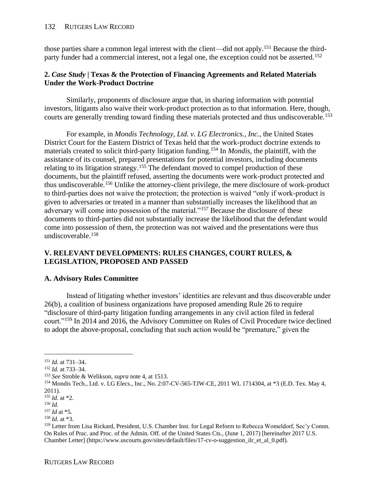those parties share a common legal interest with the client—did not apply.<sup>151</sup> Because the thirdparty funder had a commercial interest, not a legal one, the exception could not be asserted.<sup>152</sup>

## **2.** *Case Study* **| Texas & the Protection of Financing Agreements and Related Materials Under the Work-Product Doctrine**

Similarly, proponents of disclosure argue that, in sharing information with potential investors, litigants also waive their work-product protection as to that information. Here, though, courts are generally trending toward finding these materials protected and thus undiscoverable.<sup>153</sup>

For example, in *Mondis Technology, Ltd. v. LG Electronics., Inc.*, the United States District Court for the Eastern District of Texas held that the work-product doctrine extends to materials created to solicit third-party litigation funding.<sup>154</sup> In *Mondis*, the plaintiff, with the assistance of its counsel, prepared presentations for potential investors, including documents relating to its litigation strategy.<sup>155</sup> The defendant moved to compel production of these documents, but the plaintiff refused, asserting the documents were work-product protected and thus undiscoverable.<sup>156</sup> Unlike the attorney-client privilege, the mere disclosure of work-product to third-parties does not waive the protection; the protection is waived "only if work-product is given to adversaries or treated in a manner than substantially increases the likelihood that an adversary will come into possession of the material."<sup>157</sup> Because the disclosure of these documents to third-parties did not substantially increase the likelihood that the defendant would come into possession of them, the protection was not waived and the presentations were thus undiscoverable.<sup>158</sup>

## **V. RELEVANT DEVELOPMENTS: RULES CHANGES, COURT RULES, & LEGISLATION, PROPOSED AND PASSED**

## **A. Advisory Rules Committee**

Instead of litigating whether investors' identities are relevant and thus discoverable under 26(b), a coalition of business organizations have proposed amending Rule 26 to require "disclosure of third-party litigation funding arrangements in any civil action filed in federal court."<sup>159</sup> In 2014 and 2016, the Advisory Committee on Rules of Civil Procedure twice declined to adopt the above-proposal, concluding that such action would be "premature," given the

<sup>151</sup> *[Id](https://casetext.com/case/miller-uk-ltd-v-caterpillar-inc-6?)*[. at 731–34](https://casetext.com/case/miller-uk-ltd-v-caterpillar-inc-6?)[.](https://casetext.com/case/miller-uk-ltd-v-caterpillar-inc-6?)

<sup>152</sup> *[Id.](https://casetext.com/case/miller-uk-ltd-v-caterpillar-inc-6?)* [at 733–34](https://casetext.com/case/miller-uk-ltd-v-caterpillar-inc-6?)*.*

<sup>153</sup> *[See](https://www.iadclaw.org/assets/1/17/Third-Party_Litigation_Funding_-_A_Review_of_Recent_Industry_Developments2.pdf?4180)* [Stroble & Welikson,](https://www.iadclaw.org/assets/1/17/Third-Party_Litigation_Funding_-_A_Review_of_Recent_Industry_Developments2.pdf?4180) *[supra](https://www.iadclaw.org/assets/1/17/Third-Party_Litigation_Funding_-_A_Review_of_Recent_Industry_Developments2.pdf?4180)* [note 4, at 1513.](https://www.iadclaw.org/assets/1/17/Third-Party_Litigation_Funding_-_A_Review_of_Recent_Industry_Developments2.pdf?4180)

<sup>154</sup> [Mondis Tech., Ltd. v. LG Elecs., Inc.,](https://law.justia.com/cases/federal/district-courts/texas/txedce/2:2007cv00565/107459/418/) No. 2:07-CV-565-TJW-CE, 2011 WL 1714304, at \*3 (E.D. Tex. May 4, 2011).

<sup>155</sup> *[Id](https://law.justia.com/cases/federal/district-courts/texas/txedce/2:2007cv00565/107459/418/)*. at \*2.

<sup>156</sup> *[Id.](https://law.justia.com/cases/federal/district-courts/texas/txedce/2:2007cv00565/107459/418/)*

<sup>157</sup> *[Id](https://law.justia.com/cases/federal/district-courts/texas/txedce/2:2007cv00565/107459/418/)* at \*5*.*

<sup>158</sup> *[Id](https://law.justia.com/cases/federal/district-courts/texas/txedce/2:2007cv00565/107459/418/)*. at \*3.

<sup>159</sup> Letter from Lisa Rickard, President, U.S. Chamber Inst. for Legal Reform to Rebecca Womeldorf, Sec'y Comm. On Rules of Prac. and Proc. of the Admin. Off. of the United States Cts., (June 1, 2017) [hereinafter 2017 U.S. Chamber Letter] [\(https://www.uscourts.gov/sites/default/files/17-cv-o-suggestion\\_ilr\\_et\\_al\\_0.pdf\)](https://www.uscourts.gov/sites/default/files/17-cv-o-suggestion_ilr_et_al_0.pdf).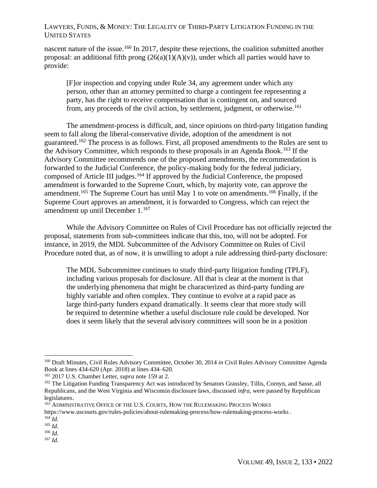nascent nature of the issue.<sup>160</sup> In 2017, despite these rejections, the coalition submitted another proposal: an additional fifth prong  $(26(a)(1)(A)(v))$ , under which all parties would have to provide:

[F]or inspection and copying under Rule 34, any agreement under which any person, other than an attorney permitted to charge a contingent fee representing a party, has the right to receive compensation that is contingent on, and sourced from, any proceeds of the civil action, by settlement, judgment, or otherwise.<sup>161</sup>

The amendment-process is difficult, and, since opinions on third-party litigation funding seem to fall along the liberal-conservative divide, adoption of the amendment is not guaranteed.<sup>162</sup> The process is as follows. First, all proposed amendments to the Rules are sent to the Advisory Committee, which responds to these proposals in an Agenda Book.<sup>163</sup> If the Advisory Committee recommends one of the proposed amendments, the recommendation is forwarded to the Judicial Conference, the policy-making body for the federal judiciary, composed of Article III judges.<sup>164</sup> If approved by the Judicial Conference, the proposed amendment is forwarded to the Supreme Court, which, by majority vote, can approve the amendment.<sup>165</sup> The Supreme Court has until May 1 to vote on amendments.<sup>166</sup> Finally, if the Supreme Court approves an amendment, it is forwarded to Congress, which can reject the amendment up until December 1.<sup>167</sup>

While the Advisory Committee on Rules of Civil Procedure has not officially rejected the proposal, statements from sub-committees indicate that this, too, will not be adopted. For instance, in 2019, the MDL Subcommittee of the Advisory Committee on Rules of Civil Procedure noted that, as of now, it is unwilling to adopt a rule addressing third-party disclosure:

The MDL Subcommittee continues to study third-party litigation funding (TPLF), including various proposals for disclosure. All that is clear at the moment is that the underlying phenomena that might be characterized as third-party funding are highly variable and often complex. They continue to evolve at a rapid pace as large third-party funders expand dramatically. It seems clear that more study will be required to determine whether a useful disclosure rule could be developed. Nor does it seem likely that the several advisory committees will soon be in a position

<sup>160</sup> [Draft Minutes, Civil Rules Advisory Committee, October 30, 2014](https://www.uscourts.gov/sites/default/files/2018-04-civil-rules-agenda-book.pdf) *[in](https://www.uscourts.gov/sites/default/files/2018-04-civil-rules-agenda-book.pdf)* [Civil Rules Advisory Committee](https://www.uscourts.gov/sites/default/files/2018-04-civil-rules-agenda-book.pdf) [Agenda](https://www.uscourts.gov/sites/default/files/2018-04-civil-rules-agenda-book.pdf)  [Book](https://www.uscourts.gov/sites/default/files/2018-04-civil-rules-agenda-book.pdf) [at lines 434-620](https://www.uscourts.gov/sites/default/files/2018-04-civil-rules-agenda-book.pdf) [\(Apr. 2018\)](https://www.uscourts.gov/sites/default/files/2018-04-civil-rules-agenda-book.pdf) [at lines 434–620.](https://www.uscourts.gov/sites/default/files/2018-04-civil-rules-agenda-book.pdf)

<sup>161</sup> [2017 U.S. Chamber Letter,](https://www.uscourts.gov/sites/default/files/17-cv-o-suggestion_ilr_et_al_0.pdf) *[supra](https://www.uscourts.gov/sites/default/files/17-cv-o-suggestion_ilr_et_al_0.pdf)* [note 159](https://www.uscourts.gov/sites/default/files/17-cv-o-suggestion_ilr_et_al_0.pdf) at 2.

<sup>&</sup>lt;sup>162</sup> The Litigation Funding Transparency Act was introduced by Senators Grassley, Tillis, Cornyn, and Sasse, all Republicans, and the West Virginia and Wisconsin disclosure laws, discussed *infra*, were passed by Republican legislatures.

<sup>163</sup> A[DMINISTRATIVE](https://www.uscourts.gov/rules-policies/about-rulemaking-process/how-rulemaking-process-works) OFFICE OF THE U.S. COURTS[, H](https://www.uscourts.gov/rules-policies/about-rulemaking-process/how-rulemaking-process-works)OW THE R[ULEMAKING](https://www.uscourts.gov/rules-policies/about-rulemaking-process/how-rulemaking-process-works) PROCE[S](https://www.uscourts.gov/rules-policies/about-rulemaking-process/how-rulemaking-process-works)S WORKS <https://www.uscourts.gov/rules-policies/about-rulemaking-process/how-rulemaking-process-works> .

 $^{164}$  *[Id](https://www.uscourts.gov/rules-policies/about-rulemaking-process/how-rulemaking-process-works).* 

<sup>165</sup> *[Id](https://www.uscourts.gov/rules-policies/about-rulemaking-process/how-rulemaking-process-works)*.

<sup>166</sup> *[Id](https://www.uscourts.gov/rules-policies/about-rulemaking-process/how-rulemaking-process-works)*.

 $167$  *[Id](https://www.uscourts.gov/rules-policies/about-rulemaking-process/how-rulemaking-process-works).*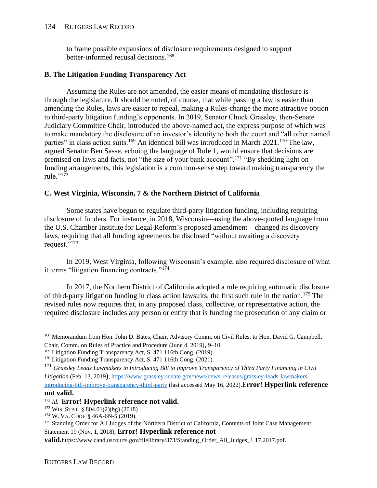#### 134 RUTGERS LAW RECORD

to frame possible expansions of disclosure requirements designed to support better-informed recusal decisions.<sup>168</sup>

### **B. The Litigation Funding Transparency Act**

Assuming the Rules are not amended, the easier means of mandating disclosure is through the legislature. It should be noted, of course, that while passing a law is easier than amending the Rules, laws are easier to repeal, making a Rules-change the more attractive option to third-party litigation funding's opponents. In 2019, Senator Chuck Grassley, then-Senate Judiciary Committee Chair, introduced the above-named act, the express purpose of which was to make mandatory the disclosure of an investor's identity to both the court and "all other named parties" in class action suits.<sup>169</sup> An identical bill was introduced in March 2021.<sup>170</sup> The law, argued Senator Ben Sasse, echoing the language of Rule 1, would ensure that decisions are premised on laws and facts, not "the size of your bank account".<sup>171</sup> "By shedding light on funding arrangements, this legislation is a common-sense step toward making transparency the rule."<sup>172</sup>

## **C. West Virginia, Wisconsin, 7 & the Northern District of California**

Some states have begun to regulate third-party litigation funding, including requiring disclosure of funders. For instance, in 2018, Wisconsin—using the above-quoted language from the U.S. Chamber Institute for Legal Reform's proposed amendment—changed its discovery laws, requiring that all funding agreements be disclosed "without awaiting a discovery request."<sup>173</sup>

In 2019, West Virginia, following Wisconsin's example, also required disclosure of what it terms "litigation financing contracts."<sup>174</sup>

In 2017, the Northern District of California adopted a rule requiring automatic disclosure of third-party litigation funding in class action lawsuits, the first such rule in the nation.<sup>175</sup> The revised rules now requires that, in any proposed class, collective, or representative action, the required disclosure includes any person or entity that is funding the prosecution of any claim or

#### **not valid.**

<sup>168</sup> [Memorandum from Hon. John D. Bates, Chair, Advisory Comm. on Civil Rules, to Hon. David G. Campbell,](https://www.uscourts.gov/sites/default/files/advisory_committee_on_civil_rules_-_june_2019_0.pdf)  [Chair, Comm. on Rules of Practice and Procedure \(June 4, 2019\)](https://www.uscourts.gov/sites/default/files/advisory_committee_on_civil_rules_-_june_2019_0.pdf)[,](https://www.uscourts.gov/sites/default/files/advisory_committee_on_civil_rules_-_june_2019_0.pdf) [9–10.](https://www.uscourts.gov/sites/default/files/advisory_committee_on_civil_rules_-_june_2019_0.pdf)

<sup>&</sup>lt;sup>169</sup> [Litigation Funding Transparency Act, S. 471](https://www.grassley.senate.gov/imo/media/doc/116.s.x%20Litigation%20Funding%20Transparency%20Act.pdf) [116th Cong. \(2019\).](https://www.grassley.senate.gov/imo/media/doc/116.s.x%20Litigation%20Funding%20Transparency%20Act.pdf)

<sup>170</sup> [Litigation Funding Transparency Act, S. 471](https://www.congress.gov/117/bills/s840/BILLS-117s840is.pdf) [116th Cong. \(2021\).](https://www.congress.gov/117/bills/s840/BILLS-117s840is.pdf)

<sup>171</sup> *[Grassley Leads Lawmakers in Introducing Bill to Improve Transparency of Third Party Financing in Civil](https://www.grassley.senate.gov/news/news-releases/grassley-leads-lawmakers-introducing-bill-improve-transparency-third-party)  [Litigation](https://www.grassley.senate.gov/news/news-releases/grassley-leads-lawmakers-introducing-bill-improve-transparency-third-party)* [\(F](about:blank)eb. 13, 2019[\)](about:blank), [https://www.grassley.senate.gov/news/news-releases/grassley-leads-lawmakers](https://www.grassley.senate.gov/news/news-releases/grassley-leads-lawmakers-introducing-bill-improve-transparency-third-party)[introducing-bill-improve-transparency-third-party](https://www.grassley.senate.gov/news/news-releases/grassley-leads-lawmakers-introducing-bill-improve-transparency-third-party) (last accessed May 16, 2022).E**rror! Hyperlink reference** 

<sup>172</sup> *[Id.](file:///C:/Users/admin/Downloads/Grassley%20Leads%20Lawmakers%20in%20Introducing%20Bill%20to%20Improve%20Transparency%20of%20Third%20Party%20Financing%20in%20Civil%20Litigation%20(Feb.%2013,%202019),%20https:/www.grassley.senate.gov/news/news-releases/grassley-leads-lawmakers-introducing-bill-improve-transparency-third-party.)* E**rror! Hyperlink reference not valid.**

<sup>173</sup> WIS.STAT. [§ 804.01\(2\)\(bg\) \(2018\)](https://docs.legis.wisconsin.gov/statutes/statutes/804/01/2/bg#:~:text=804.01(2)(c)2,previously%20made%20by%20that%20person.)

<sup>174</sup> W. VA. C[ODE](https://law.justia.com/codes/west-virginia/2019/chapter-46a/article-6n/section-46a-6n-5/) [§ 46A-6N-5 \(2019\).](https://law.justia.com/codes/west-virginia/2019/chapter-46a/article-6n/section-46a-6n-5/)

<sup>&</sup>lt;sup>175</sup> [Standing Order for All Judges of the Northern District](https://www.cand.uscourts.gov/wp-content/uploads/judges/Standing_Order_All_Judges_11.1.2018.pdf) of California, Contents of Joint Case Management [Statement 19 \(Nov. 1, 2018\),](https://www.cand.uscourts.gov/wp-content/uploads/judges/Standing_Order_All_Judges_11.1.2018.pdf) E**rror! Hyperlink reference not** 

**valid.**https://www.cand.uscourts.gov/filelibrary/373/Standing\_Order\_All\_Judges\_1.17.2017.pdf[.](about:blank)